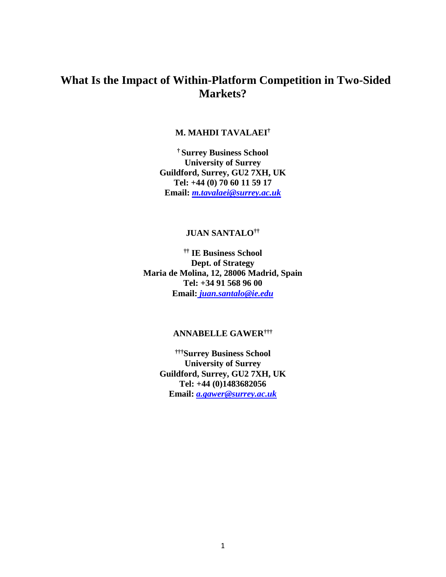# **What Is the Impact of Within-Platform Competition in Two-Sided Markets?**

### **M. MAHDI TAVALAEI†**

**† Surrey Business School University of Surrey Guildford, Surrey, GU2 7XH, UK Tel: +44 (0) 70 60 11 59 17 Email:** *m.tavalaei@surrey.ac.uk*

### **JUAN SANTALO††**

**†† IE Business School Dept. of Strategy Maria de Molina, 12, 28006 Madrid, Spain Tel: +34 91 568 96 00 Email:** *juan.santalo@ie.edu*

### **ANNABELLE GAWER†††**

**††† Surrey Business School University of Surrey Guildford, Surrey, GU2 7XH, UK [Tel:](Tel:+44) +44 (0)1483682056 Email:** *[a.gawer@surrey.ac.uk](mailto:a.gawer@surrey.ac.uk)*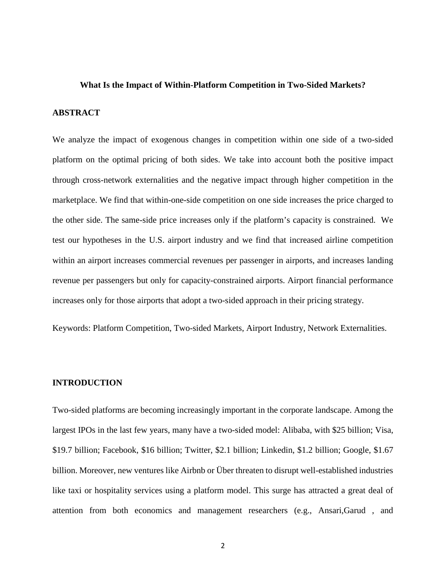#### **What Is the Impact of Within-Platform Competition in Two-Sided Markets?**

#### **ABSTRACT**

We analyze the impact of exogenous changes in competition within one side of a two-sided platform on the optimal pricing of both sides. We take into account both the positive impact through cross-network externalities and the negative impact through higher competition in the marketplace. We find that within-one-side competition on one side increases the price charged to the other side. The same-side price increases only if the platform's capacity is constrained. We test our hypotheses in the U.S. airport industry and we find that increased airline competition within an airport increases commercial revenues per passenger in airports, and increases landing revenue per passengers but only for capacity-constrained airports. Airport financial performance increases only for those airports that adopt a two-sided approach in their pricing strategy.

Keywords: Platform Competition, Two-sided Markets, Airport Industry, Network Externalities.

#### **INTRODUCTION**

Two-sided platforms are becoming increasingly important in the corporate landscape. Among the largest IPOs in the last few years, many have a two-sided model: Alibaba, with \$25 billion; Visa, \$19.7 billion; Facebook, \$16 billion; Twitter, \$2.1 billion; Linkedin, \$1.2 billion; Google, \$1.67 billion. Moreover, new ventures like Airbnb or Über threaten to disrupt well-established industries like taxi or hospitality services using a platform model. This surge has attracted a great deal of attention from both economics and management researchers (e.g., Ansari,Garud , and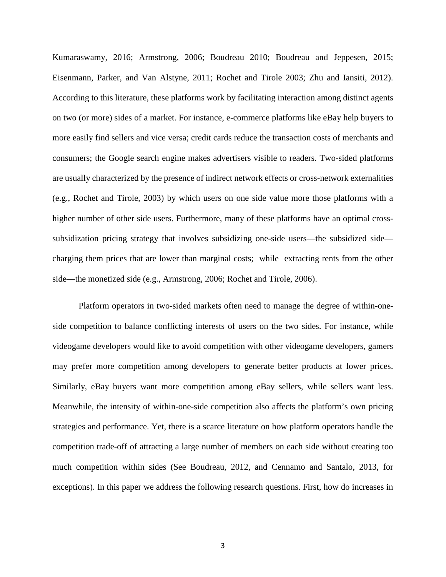Kumaraswamy, 2016; Armstrong, 2006; Boudreau 2010; Boudreau and Jeppesen, 2015; Eisenmann, Parker, and Van Alstyne, 2011; Rochet and Tirole 2003; Zhu and Iansiti, 2012). According to this literature, these platforms work by facilitating interaction among distinct agents on two (or more) sides of a market. For instance, e-commerce platforms like eBay help buyers to more easily find sellers and vice versa; credit cards reduce the transaction costs of merchants and consumers; the Google search engine makes advertisers visible to readers. Two-sided platforms are usually characterized by the presence of indirect network effects or cross-network externalities (e.g., Rochet and Tirole, 2003) by which users on one side value more those platforms with a higher number of other side users. Furthermore, many of these platforms have an optimal crosssubsidization pricing strategy that involves subsidizing one-side users—the subsidized side charging them prices that are lower than marginal costs; while extracting rents from the other side—the monetized side (e.g., Armstrong, 2006; Rochet and Tirole, 2006).

Platform operators in two-sided markets often need to manage the degree of within-oneside competition to balance conflicting interests of users on the two sides. For instance, while videogame developers would like to avoid competition with other videogame developers, gamers may prefer more competition among developers to generate better products at lower prices. Similarly, eBay buyers want more competition among eBay sellers, while sellers want less. Meanwhile, the intensity of within-one-side competition also affects the platform's own pricing strategies and performance. Yet, there is a scarce literature on how platform operators handle the competition trade-off of attracting a large number of members on each side without creating too much competition within sides (See Boudreau, 2012, and Cennamo and Santalo, 2013, for exceptions). In this paper we address the following research questions. First, how do increases in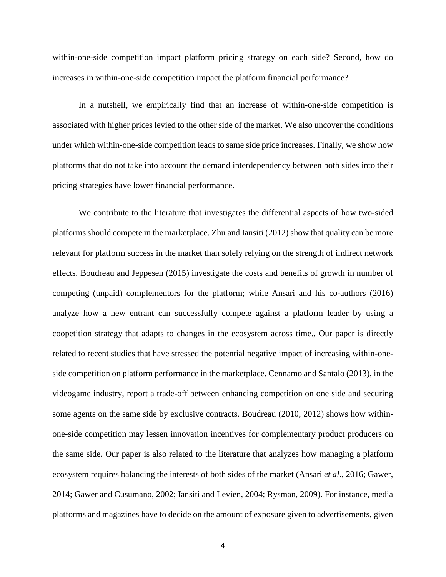within-one-side competition impact platform pricing strategy on each side? Second, how do increases in within-one-side competition impact the platform financial performance?

In a nutshell, we empirically find that an increase of within-one-side competition is associated with higher prices levied to the other side of the market. We also uncover the conditions under which within-one-side competition leads to same side price increases. Finally, we show how platforms that do not take into account the demand interdependency between both sides into their pricing strategies have lower financial performance.

We contribute to the literature that investigates the differential aspects of how two-sided platforms should compete in the marketplace. Zhu and Iansiti (2012) show that quality can be more relevant for platform success in the market than solely relying on the strength of indirect network effects. Boudreau and Jeppesen (2015) investigate the costs and benefits of growth in number of competing (unpaid) complementors for the platform; while Ansari and his co-authors (2016) analyze how a new entrant can successfully compete against a platform leader by using a coopetition strategy that adapts to changes in the ecosystem across time., Our paper is directly related to recent studies that have stressed the potential negative impact of increasing within-oneside competition on platform performance in the marketplace. Cennamo and Santalo (2013), in the videogame industry, report a trade-off between enhancing competition on one side and securing some agents on the same side by exclusive contracts. Boudreau (2010, 2012) shows how withinone-side competition may lessen innovation incentives for complementary product producers on the same side. Our paper is also related to the literature that analyzes how managing a platform ecosystem requires balancing the interests of both sides of the market (Ansari *et al*., 2016; Gawer, 2014; Gawer and Cusumano, 2002; Iansiti and Levien, 2004; Rysman, 2009). For instance, media platforms and magazines have to decide on the amount of exposure given to advertisements, given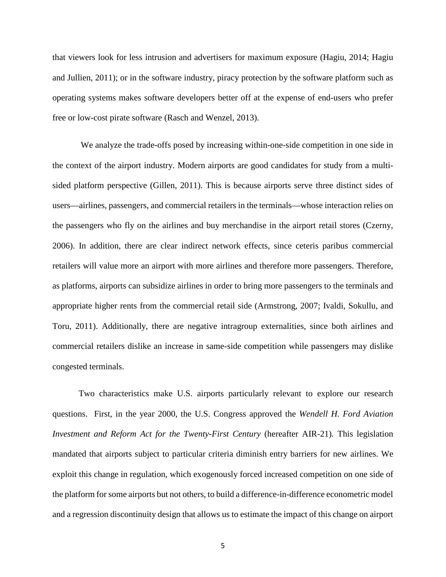that viewers look for less intrusion and advertisers for maximum exposure (Hagiu, 2014; Hagiu and Jullien, 2011); or in the software industry, piracy protection by the software platform such as operating systems makes software developers better off at the expense of end-users who prefer free or low-cost pirate software (Rasch and Wenzel, 2013).

We analyze the trade-offs posed by increasing within-one-side competition in one side in the context of the airport industry. Modern airports are good candidates for study from a multisided platform perspective (Gillen, 2011). This is because airports serve three distinct sides of users—airlines, passengers, and commercial retailers in the terminals—whose interaction relies on the passengers who fly on the airlines and buy merchandise in the airport retail stores (Czerny, 2006). In addition, there are clear indirect network effects, since ceteris paribus commercial retailers will value more an airport with more airlines and therefore more passengers. Therefore, as platforms, airports can subsidize airlines in order to bring more passengers to the terminals and appropriate higher rents from the commercial retail side (Armstrong, 2007; Ivaldi, Sokullu, and Toru, 2011). Additionally, there are negative intragroup externalities, since both airlines and commercial retailers dislike an increase in same-side competition while passengers may dislike congested terminals.

Two characteristics make U.S. airports particularly relevant to explore our research questions. First, in the year 2000, the U.S. Congress approved the *Wendell H. Ford Aviation Investment and Reform Act for the Twenty-First Century* (hereafter AIR-21)*.* This legislation mandated that airports subject to particular criteria diminish entry barriers for new airlines. We exploit this change in regulation, which exogenously forced increased competition on one side of the platform for some airports but not others, to build a difference-in-difference econometric model and a regression discontinuity design that allows us to estimate the impact of this change on airport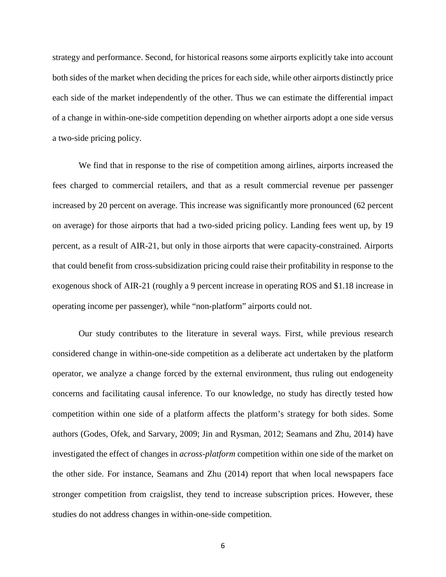strategy and performance. Second, for historical reasons some airports explicitly take into account both sides of the market when deciding the prices for each side, while other airports distinctly price each side of the market independently of the other. Thus we can estimate the differential impact of a change in within-one-side competition depending on whether airports adopt a one side versus a two-side pricing policy.

We find that in response to the rise of competition among airlines, airports increased the fees charged to commercial retailers, and that as a result commercial revenue per passenger increased by 20 percent on average. This increase was significantly more pronounced (62 percent on average) for those airports that had a two-sided pricing policy. Landing fees went up, by 19 percent, as a result of AIR-21, but only in those airports that were capacity-constrained. Airports that could benefit from cross-subsidization pricing could raise their profitability in response to the exogenous shock of AIR-21 (roughly a 9 percent increase in operating ROS and \$1.18 increase in operating income per passenger), while "non-platform" airports could not.

Our study contributes to the literature in several ways. First, while previous research considered change in within-one-side competition as a deliberate act undertaken by the platform operator, we analyze a change forced by the external environment, thus ruling out endogeneity concerns and facilitating causal inference. To our knowledge, no study has directly tested how competition within one side of a platform affects the platform's strategy for both sides. Some authors (Godes, Ofek, and Sarvary, 2009; Jin and Rysman, 2012; Seamans and Zhu, 2014) have investigated the effect of changes in *across-platform* competition within one side of the market on the other side. For instance, Seamans and Zhu (2014) report that when local newspapers face stronger competition from craigslist, they tend to increase subscription prices. However, these studies do not address changes in within-one-side competition.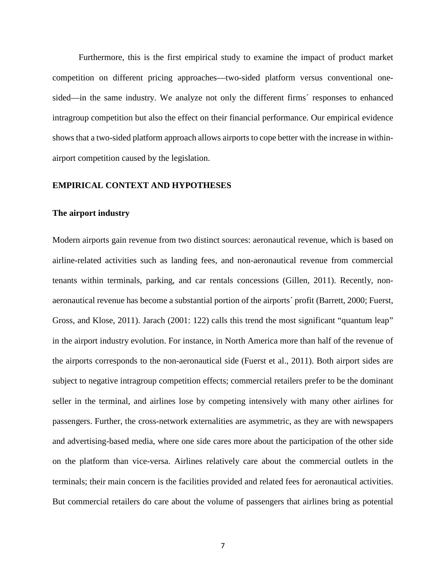Furthermore, this is the first empirical study to examine the impact of product market competition on different pricing approaches—two-sided platform versus conventional onesided—in the same industry. We analyze not only the different firms´ responses to enhanced intragroup competition but also the effect on their financial performance. Our empirical evidence shows that a two-sided platform approach allows airports to cope better with the increase in withinairport competition caused by the legislation.

#### **EMPIRICAL CONTEXT AND HYPOTHESES**

#### **The airport industry**

Modern airports gain revenue from two distinct sources: aeronautical revenue, which is based on airline-related activities such as landing fees, and non-aeronautical revenue from commercial tenants within terminals, parking, and car rentals concessions (Gillen, 2011). Recently, nonaeronautical revenue has become a substantial portion of the airports´ profit (Barrett, 2000; Fuerst, Gross, and Klose, 2011). Jarach (2001: 122) calls this trend the most significant "quantum leap" in the airport industry evolution. For instance, in North America more than half of the revenue of the airports corresponds to the non-aeronautical side (Fuerst et al., 2011). Both airport sides are subject to negative intragroup competition effects; commercial retailers prefer to be the dominant seller in the terminal, and airlines lose by competing intensively with many other airlines for passengers. Further, the cross-network externalities are asymmetric, as they are with newspapers and advertising-based media, where one side cares more about the participation of the other side on the platform than vice-versa. Airlines relatively care about the commercial outlets in the terminals; their main concern is the facilities provided and related fees for aeronautical activities. But commercial retailers do care about the volume of passengers that airlines bring as potential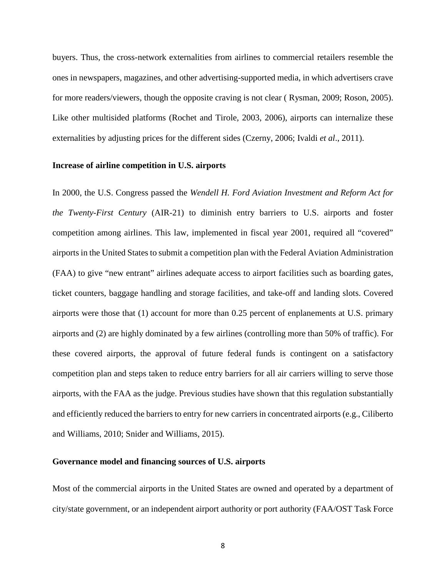buyers. Thus, the cross-network externalities from airlines to commercial retailers resemble the ones in newspapers, magazines, and other advertising-supported media, in which advertisers crave for more readers/viewers, though the opposite craving is not clear ( Rysman, 2009; Roson, 2005). Like other multisided platforms (Rochet and Tirole, 2003, 2006), airports can internalize these externalities by adjusting prices for the different sides (Czerny, 2006; Ivaldi *et al*., 2011).

#### **Increase of airline competition in U.S. airports**

In 2000, the U.S. Congress passed the *Wendell H. Ford Aviation Investment and Reform Act for the Twenty-First Century* (AIR-21) to diminish entry barriers to U.S. airports and foster competition among airlines. This law, implemented in fiscal year 2001, required all "covered" airports in the United States to submit a competition plan with the Federal Aviation Administration (FAA) to give "new entrant" airlines adequate access to airport facilities such as boarding gates, ticket counters, baggage handling and storage facilities, and take-off and landing slots. Covered airports were those that (1) account for more than 0.25 percent of enplanements at U.S. primary airports and (2) are highly dominated by a few airlines (controlling more than 50% of traffic). For these covered airports, the approval of future federal funds is contingent on a satisfactory competition plan and steps taken to reduce entry barriers for all air carriers willing to serve those airports, with the FAA as the judge. Previous studies have shown that this regulation substantially and efficiently reduced the barriers to entry for new carriers in concentrated airports (e.g., Ciliberto and Williams, 2010; Snider and Williams, 2015).

#### **Governance model and financing sources of U.S. airports**

Most of the commercial airports in the United States are owned and operated by a department of city/state government, or an independent airport authority or port authority (FAA/OST Task Force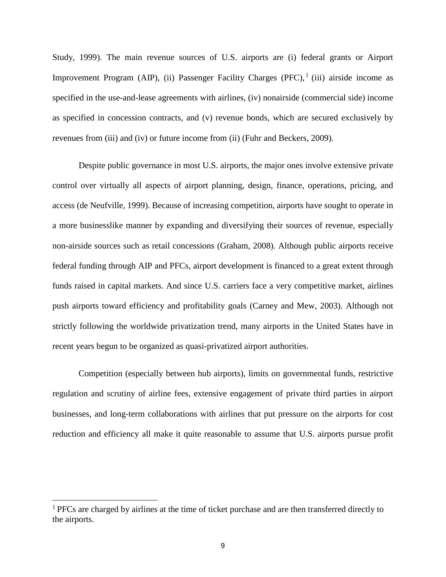Study, 1999). The main revenue sources of U.S. airports are (i) federal grants or Airport Improvement Program (AIP), (ii) Passenger Facility Charges (PFC),  $(iii)$  airside income as specified in the use-and-lease agreements with airlines, (iv) nonairside (commercial side) income as specified in concession contracts, and (v) revenue bonds, which are secured exclusively by revenues from (iii) and (iv) or future income from (ii) (Fuhr and Beckers, 2009).

Despite public governance in most U.S. airports, the major ones involve extensive private control over virtually all aspects of airport planning, design, finance, operations, pricing, and access (de Neufville, 1999). Because of increasing competition, airports have sought to operate in a more businesslike manner by expanding and diversifying their sources of revenue, especially non-airside sources such as retail concessions (Graham, 2008). Although public airports receive federal funding through AIP and PFCs, airport development is financed to a great extent through funds raised in capital markets. And since U.S. carriers face a very competitive market, airlines push airports toward efficiency and profitability goals (Carney and Mew, 2003). Although not strictly following the worldwide privatization trend, many airports in the United States have in recent years begun to be organized as quasi-privatized airport authorities.

Competition (especially between hub airports), limits on governmental funds, restrictive regulation and scrutiny of airline fees, extensive engagement of private third parties in airport businesses, and long-term collaborations with airlines that put pressure on the airports for cost reduction and efficiency all make it quite reasonable to assume that U.S. airports pursue profit

<sup>&</sup>lt;sup>1</sup> PFCs are charged by airlines at the time of ticket purchase and are then transferred directly to the airports.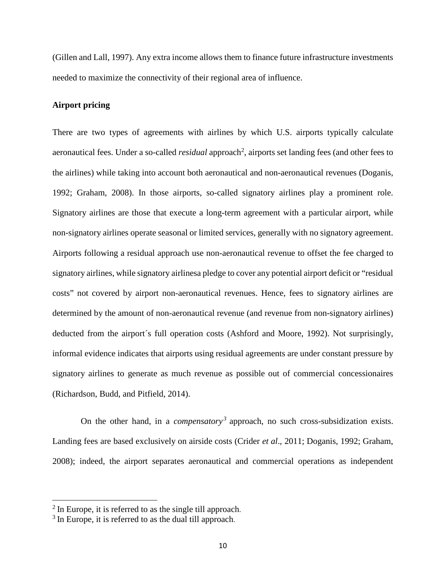(Gillen and Lall, 1997). Any extra income allows them to finance future infrastructure investments needed to maximize the connectivity of their regional area of influence.

#### **Airport pricing**

There are two types of agreements with airlines by which U.S. airports typically calculate aeronautical fees. Under a so-called *residual* approach<sup>2</sup>, airports set landing fees (and other fees to the airlines) while taking into account both aeronautical and non-aeronautical revenues (Doganis, 1992; Graham, 2008). In those airports, so-called signatory airlines play a prominent role. Signatory airlines are those that execute a long-term agreement with a particular airport, while non-signatory airlines operate seasonal or limited services, generally with no signatory agreement. Airports following a residual approach use non-aeronautical revenue to offset the fee charged to signatory airlines, while signatory airlinesa pledge to cover any potential airport deficit or "residual costs" not covered by airport non-aeronautical revenues. Hence, fees to signatory airlines are determined by the amount of non-aeronautical revenue (and revenue from non-signatory airlines) deducted from the airport´s full operation costs (Ashford and Moore, 1992). Not surprisingly, informal evidence indicates that airports using residual agreements are under constant pressure by signatory airlines to generate as much revenue as possible out of commercial concessionaires (Richardson, Budd, and Pitfield, 2014).

On the other hand, in a *compensatory*<sup>3</sup> approach, no such cross-subsidization exists. Landing fees are based exclusively on airside costs (Crider *et al*., 2011; Doganis, 1992; Graham, 2008); indeed, the airport separates aeronautical and commercial operations as independent

 $2$  In Europe, it is referred to as the single till approach.

<sup>&</sup>lt;sup>3</sup> In Europe, it is referred to as the dual till approach.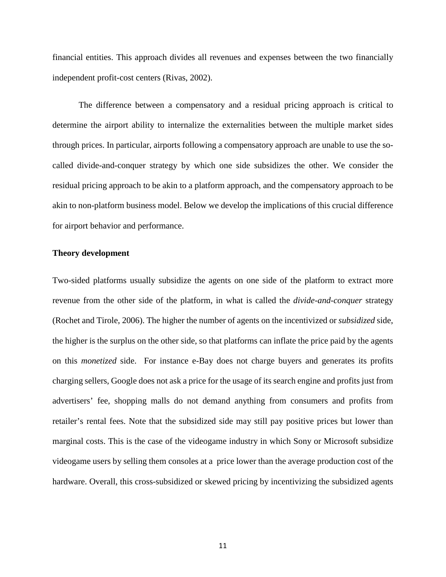financial entities. This approach divides all revenues and expenses between the two financially independent profit-cost centers (Rivas, 2002).

The difference between a compensatory and a residual pricing approach is critical to determine the airport ability to internalize the externalities between the multiple market sides through prices. In particular, airports following a compensatory approach are unable to use the socalled divide-and-conquer strategy by which one side subsidizes the other. We consider the residual pricing approach to be akin to a platform approach, and the compensatory approach to be akin to non-platform business model. Below we develop the implications of this crucial difference for airport behavior and performance.

#### **Theory development**

Two-sided platforms usually subsidize the agents on one side of the platform to extract more revenue from the other side of the platform, in what is called the *divide-and-conquer* strategy (Rochet and Tirole, 2006). The higher the number of agents on the incentivized or *subsidized* side, the higher is the surplus on the other side, so that platforms can inflate the price paid by the agents on this *monetized* side. For instance e-Bay does not charge buyers and generates its profits charging sellers, Google does not ask a price for the usage of its search engine and profits just from advertisers' fee, shopping malls do not demand anything from consumers and profits from retailer's rental fees. Note that the subsidized side may still pay positive prices but lower than marginal costs. This is the case of the videogame industry in which Sony or Microsoft subsidize videogame users by selling them consoles at a price lower than the average production cost of the hardware. Overall, this cross-subsidized or skewed pricing by incentivizing the subsidized agents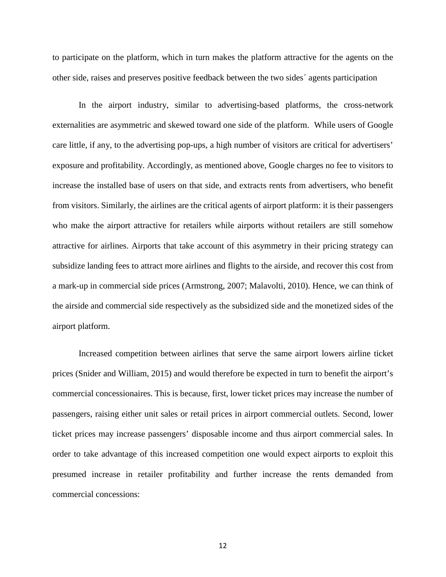to participate on the platform, which in turn makes the platform attractive for the agents on the other side, raises and preserves positive feedback between the two sides´ agents participation

In the airport industry, similar to advertising-based platforms, the cross-network externalities are asymmetric and skewed toward one side of the platform. While users of Google care little, if any, to the advertising pop-ups, a high number of visitors are critical for advertisers' exposure and profitability. Accordingly, as mentioned above, Google charges no fee to visitors to increase the installed base of users on that side, and extracts rents from advertisers, who benefit from visitors. Similarly, the airlines are the critical agents of airport platform: it is their passengers who make the airport attractive for retailers while airports without retailers are still somehow attractive for airlines. Airports that take account of this asymmetry in their pricing strategy can subsidize landing fees to attract more airlines and flights to the airside, and recover this cost from a mark-up in commercial side prices (Armstrong, 2007; Malavolti, 2010). Hence, we can think of the airside and commercial side respectively as the subsidized side and the monetized sides of the airport platform.

Increased competition between airlines that serve the same airport lowers airline ticket prices (Snider and William, 2015) and would therefore be expected in turn to benefit the airport's commercial concessionaires. This is because, first, lower ticket prices may increase the number of passengers, raising either unit sales or retail prices in airport commercial outlets. Second, lower ticket prices may increase passengers' disposable income and thus airport commercial sales. In order to take advantage of this increased competition one would expect airports to exploit this presumed increase in retailer profitability and further increase the rents demanded from commercial concessions: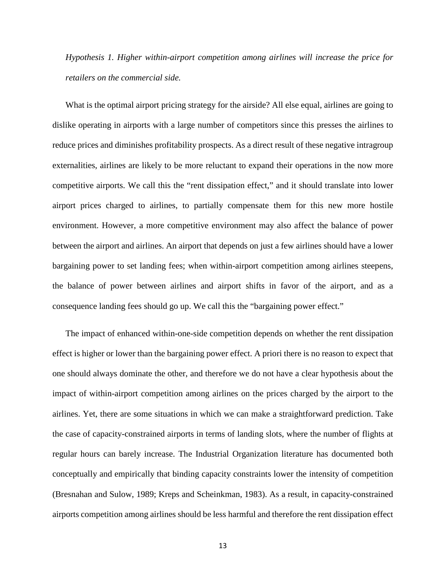*Hypothesis 1. Higher within-airport competition among airlines will increase the price for retailers on the commercial side.*

What is the optimal airport pricing strategy for the airside? All else equal, airlines are going to dislike operating in airports with a large number of competitors since this presses the airlines to reduce prices and diminishes profitability prospects. As a direct result of these negative intragroup externalities, airlines are likely to be more reluctant to expand their operations in the now more competitive airports. We call this the "rent dissipation effect," and it should translate into lower airport prices charged to airlines, to partially compensate them for this new more hostile environment. However, a more competitive environment may also affect the balance of power between the airport and airlines. An airport that depends on just a few airlines should have a lower bargaining power to set landing fees; when within-airport competition among airlines steepens, the balance of power between airlines and airport shifts in favor of the airport, and as a consequence landing fees should go up. We call this the "bargaining power effect."

The impact of enhanced within-one-side competition depends on whether the rent dissipation effect is higher or lower than the bargaining power effect. A priori there is no reason to expect that one should always dominate the other, and therefore we do not have a clear hypothesis about the impact of within-airport competition among airlines on the prices charged by the airport to the airlines. Yet, there are some situations in which we can make a straightforward prediction. Take the case of capacity-constrained airports in terms of landing slots, where the number of flights at regular hours can barely increase. The Industrial Organization literature has documented both conceptually and empirically that binding capacity constraints lower the intensity of competition (Bresnahan and Sulow, 1989; Kreps and Scheinkman, 1983). As a result, in capacity-constrained airports competition among airlines should be less harmful and therefore the rent dissipation effect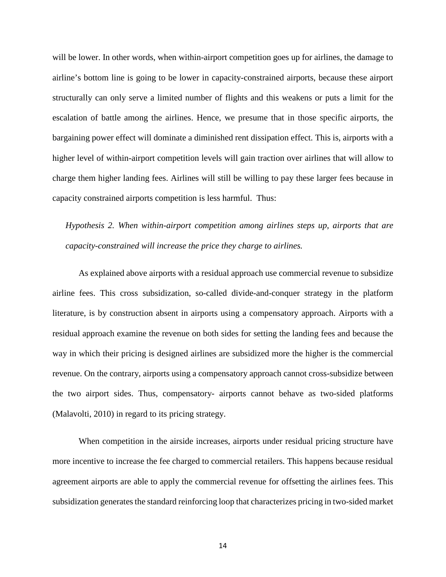will be lower. In other words, when within-airport competition goes up for airlines, the damage to airline's bottom line is going to be lower in capacity-constrained airports, because these airport structurally can only serve a limited number of flights and this weakens or puts a limit for the escalation of battle among the airlines. Hence, we presume that in those specific airports, the bargaining power effect will dominate a diminished rent dissipation effect. This is, airports with a higher level of within-airport competition levels will gain traction over airlines that will allow to charge them higher landing fees. Airlines will still be willing to pay these larger fees because in capacity constrained airports competition is less harmful. Thus:

*Hypothesis 2. When within-airport competition among airlines steps up, airports that are capacity-constrained will increase the price they charge to airlines.*

As explained above airports with a residual approach use commercial revenue to subsidize airline fees. This cross subsidization, so-called divide-and-conquer strategy in the platform literature, is by construction absent in airports using a compensatory approach. Airports with a residual approach examine the revenue on both sides for setting the landing fees and because the way in which their pricing is designed airlines are subsidized more the higher is the commercial revenue. On the contrary, airports using a compensatory approach cannot cross-subsidize between the two airport sides. Thus, compensatory- airports cannot behave as two-sided platforms (Malavolti, 2010) in regard to its pricing strategy.

When competition in the airside increases, airports under residual pricing structure have more incentive to increase the fee charged to commercial retailers. This happens because residual agreement airports are able to apply the commercial revenue for offsetting the airlines fees. This subsidization generates the standard reinforcing loop that characterizes pricing in two-sided market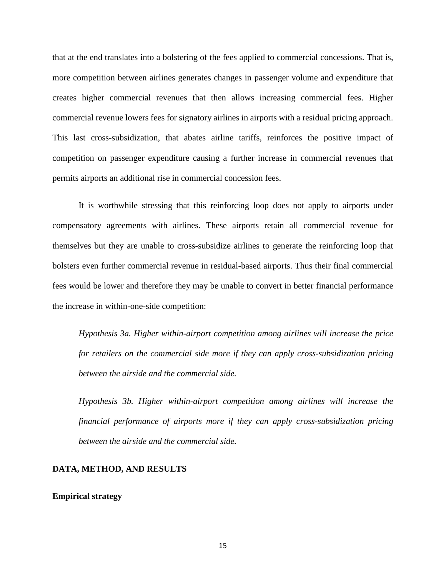that at the end translates into a bolstering of the fees applied to commercial concessions. That is, more competition between airlines generates changes in passenger volume and expenditure that creates higher commercial revenues that then allows increasing commercial fees. Higher commercial revenue lowers fees for signatory airlines in airports with a residual pricing approach. This last cross-subsidization, that abates airline tariffs, reinforces the positive impact of competition on passenger expenditure causing a further increase in commercial revenues that permits airports an additional rise in commercial concession fees.

It is worthwhile stressing that this reinforcing loop does not apply to airports under compensatory agreements with airlines. These airports retain all commercial revenue for themselves but they are unable to cross-subsidize airlines to generate the reinforcing loop that bolsters even further commercial revenue in residual-based airports. Thus their final commercial fees would be lower and therefore they may be unable to convert in better financial performance the increase in within-one-side competition:

*Hypothesis 3a. Higher within-airport competition among airlines will increase the price for retailers on the commercial side more if they can apply cross-subsidization pricing between the airside and the commercial side.*

*Hypothesis 3b. Higher within-airport competition among airlines will increase the financial performance of airports more if they can apply cross-subsidization pricing between the airside and the commercial side.*

#### **DATA, METHOD, AND RESULTS**

#### **Empirical strategy**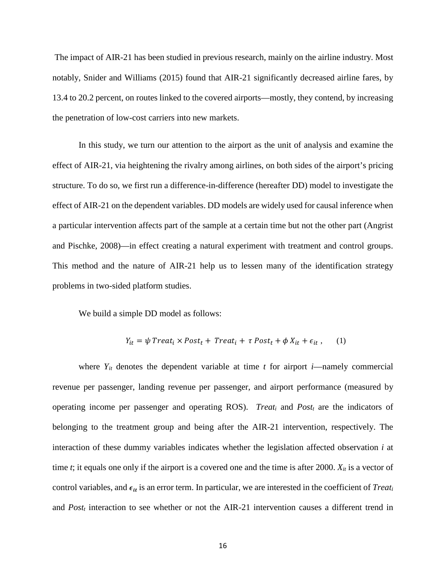The impact of AIR-21 has been studied in previous research, mainly on the airline industry. Most notably, Snider and Williams (2015) found that AIR-21 significantly decreased airline fares, by 13.4 to 20.2 percent, on routes linked to the covered airports—mostly, they contend, by increasing the penetration of low-cost carriers into new markets.

In this study, we turn our attention to the airport as the unit of analysis and examine the effect of AIR-21, via heightening the rivalry among airlines, on both sides of the airport's pricing structure. To do so, we first run a difference-in-difference (hereafter DD) model to investigate the effect of AIR-21 on the dependent variables. DD models are widely used for causal inference when a particular intervention affects part of the sample at a certain time but not the other part (Angrist and Pischke, 2008)—in effect creating a natural experiment with treatment and control groups. This method and the nature of AIR-21 help us to lessen many of the identification strategy problems in two-sided platform studies.

We build a simple DD model as follows:

$$
Y_{it} = \psi \text{ Treat}_i \times \text{Post}_t + \text{ Treat}_i + \tau \text{ Post}_t + \phi X_{it} + \epsilon_{it} \,,\qquad(1)
$$

where  $Y_{it}$  denotes the dependent variable at time  $t$  for airport  $i$ —namely commercial revenue per passenger, landing revenue per passenger, and airport performance (measured by operating income per passenger and operating ROS). *Treati* and *Postt* are the indicators of belonging to the treatment group and being after the AIR-21 intervention, respectively. The interaction of these dummy variables indicates whether the legislation affected observation *i* at time *t*; it equals one only if the airport is a covered one and the time is after 2000.  $X_{it}$  is a vector of control variables, and  $\epsilon_{it}$  is an error term. In particular, we are interested in the coefficient of *Treati* and *Post<sub>t</sub>* interaction to see whether or not the AIR-21 intervention causes a different trend in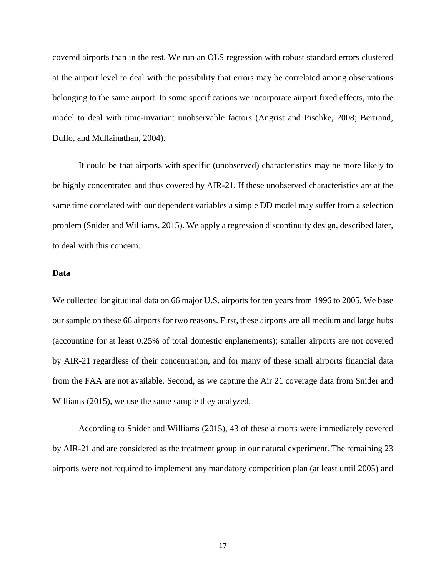covered airports than in the rest. We run an OLS regression with robust standard errors clustered at the airport level to deal with the possibility that errors may be correlated among observations belonging to the same airport. In some specifications we incorporate airport fixed effects, into the model to deal with time-invariant unobservable factors (Angrist and Pischke, 2008; Bertrand, Duflo, and Mullainathan, 2004).

It could be that airports with specific (unobserved) characteristics may be more likely to be highly concentrated and thus covered by AIR-21. If these unobserved characteristics are at the same time correlated with our dependent variables a simple DD model may suffer from a selection problem (Snider and Williams, 2015). We apply a regression discontinuity design, described later, to deal with this concern.

#### **Data**

We collected longitudinal data on 66 major U.S. airports for ten years from 1996 to 2005. We base our sample on these 66 airports for two reasons. First, these airports are all medium and large hubs (accounting for at least 0.25% of total domestic enplanements); smaller airports are not covered by AIR-21 regardless of their concentration, and for many of these small airports financial data from the FAA are not available. Second, as we capture the Air 21 coverage data from Snider and Williams (2015), we use the same sample they analyzed.

According to Snider and Williams (2015), 43 of these airports were immediately covered by AIR-21 and are considered as the treatment group in our natural experiment. The remaining 23 airports were not required to implement any mandatory competition plan (at least until 2005) and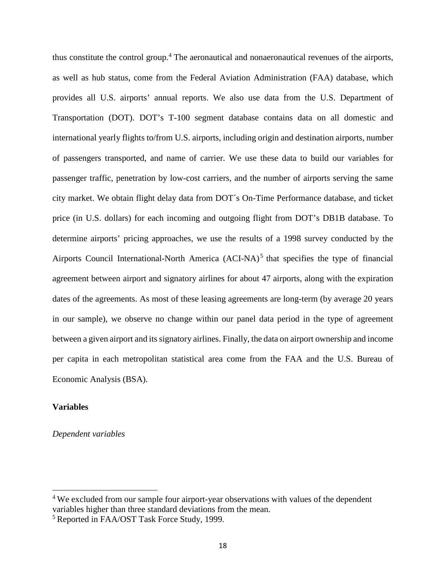thus constitute the control group.<sup>4</sup> The aeronautical and nonaeronautical revenues of the airports, as well as hub status, come from the Federal Aviation Administration (FAA) database, which provides all U.S. airports' annual reports. We also use data from the U.S. Department of Transportation (DOT). DOT's T-100 segment database contains data on all domestic and international yearly flights to/from U.S. airports, including origin and destination airports, number of passengers transported, and name of carrier. We use these data to build our variables for passenger traffic, penetration by low-cost carriers, and the number of airports serving the same city market. We obtain flight delay data from DOT´s On-Time Performance database, and ticket price (in U.S. dollars) for each incoming and outgoing flight from DOT's DB1B database. To determine airports' pricing approaches, we use the results of a 1998 survey conducted by the Airports Council International-North America (ACI-NA)<sup>5</sup> that specifies the type of financial agreement between airport and signatory airlines for about 47 airports, along with the expiration dates of the agreements. As most of these leasing agreements are long-term (by average 20 years in our sample), we observe no change within our panel data period in the type of agreement between a given airport and itssignatory airlines. Finally, the data on airport ownership and income per capita in each metropolitan statistical area come from the FAA and the U.S. Bureau of Economic Analysis (BSA).

#### **Variables**

### *Dependent variables*

<sup>&</sup>lt;sup>4</sup> We excluded from our sample four airport-year observations with values of the dependent variables higher than three standard deviations from the mean.

<sup>5</sup> Reported in FAA/OST Task Force Study, 1999.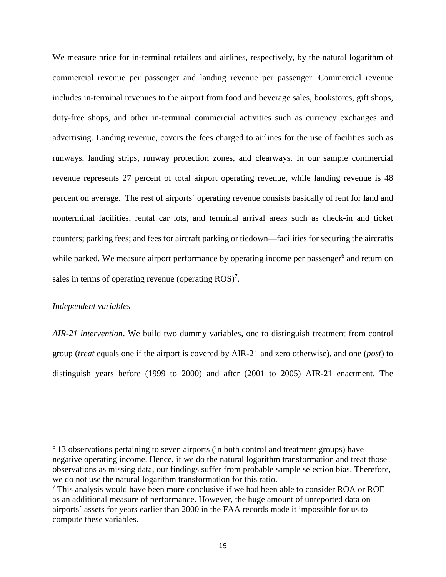We measure price for in-terminal retailers and airlines, respectively, by the natural logarithm of commercial revenue per passenger and landing revenue per passenger. Commercial revenue includes in-terminal revenues to the airport from food and beverage sales, bookstores, gift shops, duty-free shops, and other in-terminal commercial activities such as currency exchanges and advertising. Landing revenue, covers the fees charged to airlines for the use of facilities such as runways, landing strips, runway protection zones, and clearways. In our sample commercial revenue represents 27 percent of total airport operating revenue, while landing revenue is 48 percent on average. The rest of airports´ operating revenue consists basically of rent for land and nonterminal facilities, rental car lots, and terminal arrival areas such as check-in and ticket counters; parking fees; and fees for aircraft parking or tiedown—facilities for securing the aircrafts while parked. We measure airport performance by operating income per passenger<sup>6</sup> and return on sales in terms of operating revenue (operating  $ROS)^7$ .

#### *Independent variables*

*AIR-21 intervention*. We build two dummy variables, one to distinguish treatment from control group (*treat* equals one if the airport is covered by AIR-21 and zero otherwise), and one (*post*) to distinguish years before (1999 to 2000) and after (2001 to 2005) AIR-21 enactment. The

<sup>&</sup>lt;sup>6</sup> 13 observations pertaining to seven airports (in both control and treatment groups) have negative operating income. Hence, if we do the natural logarithm transformation and treat those observations as missing data, our findings suffer from probable sample selection bias. Therefore, we do not use the natural logarithm transformation for this ratio.

 $<sup>7</sup>$  This analysis would have been more conclusive if we had been able to consider ROA or ROE</sup> as an additional measure of performance. However, the huge amount of unreported data on airports´ assets for years earlier than 2000 in the FAA records made it impossible for us to compute these variables.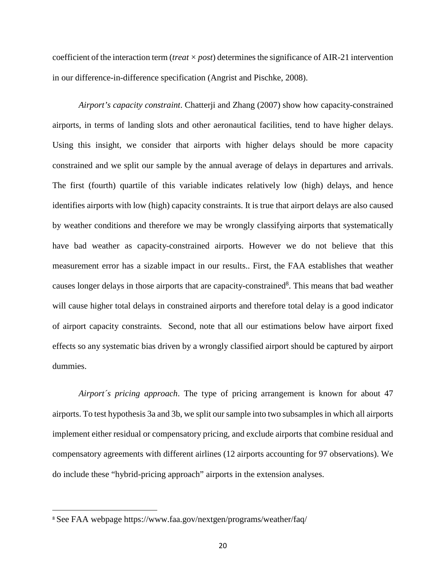coefficient of the interaction term (*treat*  $\times$  *post*) determines the significance of AIR-21 intervention in our difference-in-difference specification (Angrist and Pischke, 2008).

*Airport's capacity constraint*. Chatterji and Zhang (2007) show how capacity-constrained airports, in terms of landing slots and other aeronautical facilities, tend to have higher delays. Using this insight, we consider that airports with higher delays should be more capacity constrained and we split our sample by the annual average of delays in departures and arrivals. The first (fourth) quartile of this variable indicates relatively low (high) delays, and hence identifies airports with low (high) capacity constraints. It is true that airport delays are also caused by weather conditions and therefore we may be wrongly classifying airports that systematically have bad weather as capacity-constrained airports. However we do not believe that this measurement error has a sizable impact in our results.. First, the FAA establishes that weather causes longer delays in those airports that are capacity-constrained<sup>8</sup>. This means that bad weather will cause higher total delays in constrained airports and therefore total delay is a good indicator of airport capacity constraints. Second, note that all our estimations below have airport fixed effects so any systematic bias driven by a wrongly classified airport should be captured by airport dummies.

*Airport´s pricing approach*. The type of pricing arrangement is known for about 47 airports. To test hypothesis 3a and 3b, we split our sample into two subsamplesin which all airports implement either residual or compensatory pricing, and exclude airports that combine residual and compensatory agreements with different airlines (12 airports accounting for 97 observations). We do include these "hybrid-pricing approach" airports in the extension analyses.

 $\overline{a}$ 

<sup>8</sup> See FAA webpage https://www.faa.gov/nextgen/programs/weather/faq/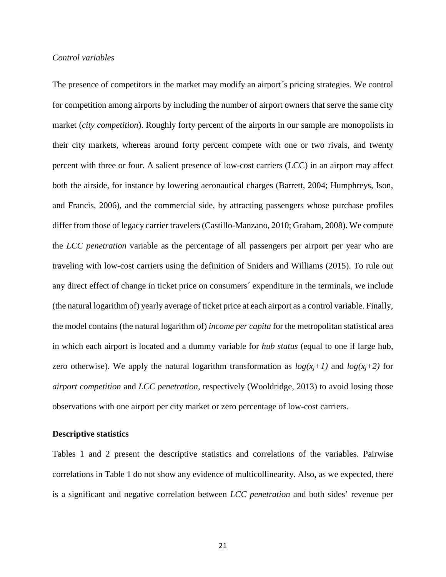#### *Control variables*

The presence of competitors in the market may modify an airport´s pricing strategies. We control for competition among airports by including the number of airport owners that serve the same city market (*city competition*). Roughly forty percent of the airports in our sample are monopolists in their city markets, whereas around forty percent compete with one or two rivals, and twenty percent with three or four. A salient presence of low-cost carriers (LCC) in an airport may affect both the airside, for instance by lowering aeronautical charges (Barrett, 2004; Humphreys, Ison, and Francis, 2006), and the commercial side, by attracting passengers whose purchase profiles differ from those of legacy carrier travelers(Castillo-Manzano, 2010; Graham, 2008). We compute the *LCC penetration* variable as the percentage of all passengers per airport per year who are traveling with low-cost carriers using the definition of Sniders and Williams (2015). To rule out any direct effect of change in ticket price on consumers´ expenditure in the terminals, we include (the natural logarithm of) yearly average of ticket price at each airport as a control variable. Finally, the model contains (the natural logarithm of) *income per capita* for the metropolitan statistical area in which each airport is located and a dummy variable for *hub status* (equal to one if large hub, zero otherwise). We apply the natural logarithm transformation as  $log(x_i+1)$  and  $log(x_i+2)$  for *airport competition* and *LCC penetration*, respectively (Wooldridge, 2013) to avoid losing those observations with one airport per city market or zero percentage of low-cost carriers.

#### **Descriptive statistics**

Tables 1 and 2 present the descriptive statistics and correlations of the variables. Pairwise correlations in Table 1 do not show any evidence of multicollinearity. Also, as we expected, there is a significant and negative correlation between *LCC penetration* and both sides' revenue per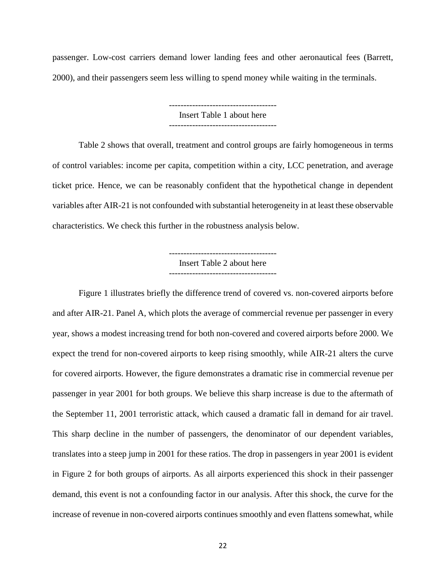passenger. Low-cost carriers demand lower landing fees and other aeronautical fees (Barrett, 2000), and their passengers seem less willing to spend money while waiting in the terminals.

> ------------------------------------- Insert Table 1 about here

Table 2 shows that overall, treatment and control groups are fairly homogeneous in terms of control variables: income per capita, competition within a city, LCC penetration, and average ticket price. Hence, we can be reasonably confident that the hypothetical change in dependent variables after AIR-21 is not confounded with substantial heterogeneity in at least these observable characteristics. We check this further in the robustness analysis below.

> ------------------------------------- Insert Table 2 about here -------------------------------------

Figure 1 illustrates briefly the difference trend of covered vs. non-covered airports before and after AIR-21. Panel A, which plots the average of commercial revenue per passenger in every year, shows a modest increasing trend for both non-covered and covered airports before 2000. We expect the trend for non-covered airports to keep rising smoothly, while AIR-21 alters the curve for covered airports. However, the figure demonstrates a dramatic rise in commercial revenue per passenger in year 2001 for both groups. We believe this sharp increase is due to the aftermath of the September 11, 2001 terroristic attack, which caused a dramatic fall in demand for air travel. This sharp decline in the number of passengers, the denominator of our dependent variables, translates into a steep jump in 2001 for these ratios. The drop in passengers in year 2001 is evident in Figure 2 for both groups of airports. As all airports experienced this shock in their passenger demand, this event is not a confounding factor in our analysis. After this shock, the curve for the increase of revenue in non-covered airports continues smoothly and even flattens somewhat, while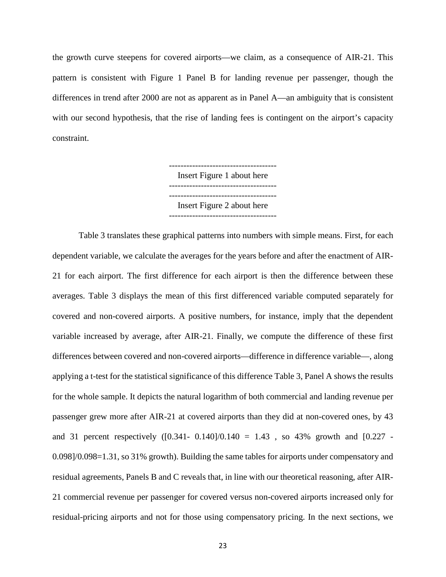the growth curve steepens for covered airports—we claim, as a consequence of AIR-21. This pattern is consistent with Figure 1 Panel B for landing revenue per passenger, though the differences in trend after 2000 are not as apparent as in Panel A—an ambiguity that is consistent with our second hypothesis, that the rise of landing fees is contingent on the airport's capacity constraint.

> ------------------------------------- Insert Figure 1 about here ------------------------------------- ------------------------------------- Insert Figure 2 about here -------------------------------------

Table 3 translates these graphical patterns into numbers with simple means. First, for each dependent variable, we calculate the averages for the years before and after the enactment of AIR-21 for each airport. The first difference for each airport is then the difference between these averages. Table 3 displays the mean of this first differenced variable computed separately for covered and non-covered airports. A positive numbers, for instance, imply that the dependent variable increased by average, after AIR-21. Finally, we compute the difference of these first differences between covered and non-covered airports—difference in difference variable—, along applying a t-test for the statistical significance of this difference Table 3, Panel A shows the results for the whole sample. It depicts the natural logarithm of both commercial and landing revenue per passenger grew more after AIR-21 at covered airports than they did at non-covered ones, by 43 and 31 percent respectively  $([0.341 - 0.140]/0.140 = 1.43$ , so 43% growth and  $[0.227 - 1.43]/0.140 = 1.43$ 0.098]/0.098=1.31, so 31% growth). Building the same tables for airports under compensatory and residual agreements, Panels B and C reveals that, in line with our theoretical reasoning, after AIR-21 commercial revenue per passenger for covered versus non-covered airports increased only for residual-pricing airports and not for those using compensatory pricing. In the next sections, we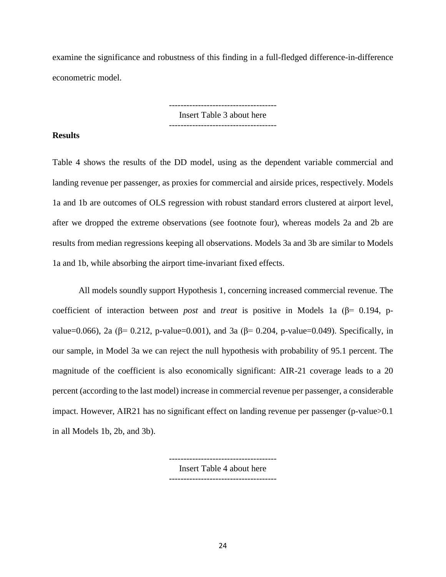examine the significance and robustness of this finding in a full-fledged difference-in-difference econometric model.

> ------------------------------------- Insert Table 3 about here -------------------------------------

#### **Results**

Table 4 shows the results of the DD model, using as the dependent variable commercial and landing revenue per passenger, as proxies for commercial and airside prices, respectively. Models 1a and 1b are outcomes of OLS regression with robust standard errors clustered at airport level, after we dropped the extreme observations (see footnote four), whereas models 2a and 2b are results from median regressions keeping all observations. Models 3a and 3b are similar to Models 1a and 1b, while absorbing the airport time-invariant fixed effects.

All models soundly support Hypothesis 1, concerning increased commercial revenue. The coefficient of interaction between *post* and *treat* is positive in Models 1a (β= 0.194, pvalue=0.066), 2a (β= 0.212, p-value=0.001), and 3a (β= 0.204, p-value=0.049). Specifically, in our sample, in Model 3a we can reject the null hypothesis with probability of 95.1 percent. The magnitude of the coefficient is also economically significant: AIR-21 coverage leads to a 20 percent (according to the last model) increase in commercial revenue per passenger, a considerable impact. However, AIR21 has no significant effect on landing revenue per passenger (p-value>0.1 in all Models 1b, 2b, and 3b).

> ------------------------------------- Insert Table 4 about here

-------------------------------------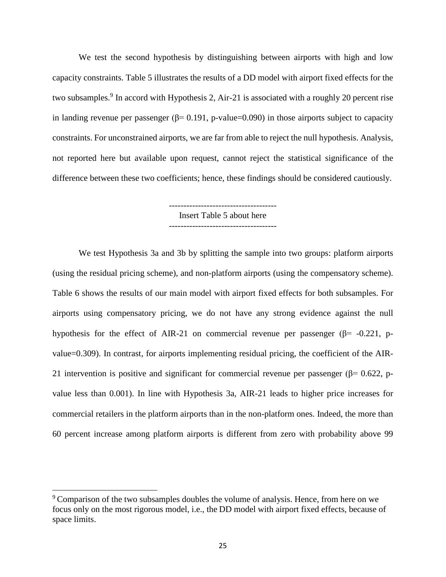We test the second hypothesis by distinguishing between airports with high and low capacity constraints. Table 5 illustrates the results of a DD model with airport fixed effects for the two subsamples.<sup>9</sup> In accord with Hypothesis 2, Air-21 is associated with a roughly 20 percent rise in landing revenue per passenger ( $\beta$ = 0.191, p-value=0.090) in those airports subject to capacity constraints. For unconstrained airports, we are far from able to reject the null hypothesis. Analysis, not reported here but available upon request, cannot reject the statistical significance of the difference between these two coefficients; hence, these findings should be considered cautiously.

> Insert Table 5 about here -------------------------------------

We test Hypothesis 3a and 3b by splitting the sample into two groups: platform airports (using the residual pricing scheme), and non-platform airports (using the compensatory scheme). Table 6 shows the results of our main model with airport fixed effects for both subsamples. For airports using compensatory pricing, we do not have any strong evidence against the null hypothesis for the effect of AIR-21 on commercial revenue per passenger ( $\beta$ = -0.221, pvalue=0.309). In contrast, for airports implementing residual pricing, the coefficient of the AIR-21 intervention is positive and significant for commercial revenue per passenger ( $\beta$ = 0.622, pvalue less than 0.001). In line with Hypothesis 3a, AIR-21 leads to higher price increases for commercial retailers in the platform airports than in the non-platform ones. Indeed, the more than 60 percent increase among platform airports is different from zero with probability above 99

<sup>&</sup>lt;sup>9</sup> Comparison of the two subsamples doubles the volume of analysis. Hence, from here on we focus only on the most rigorous model, i.e., the DD model with airport fixed effects, because of space limits.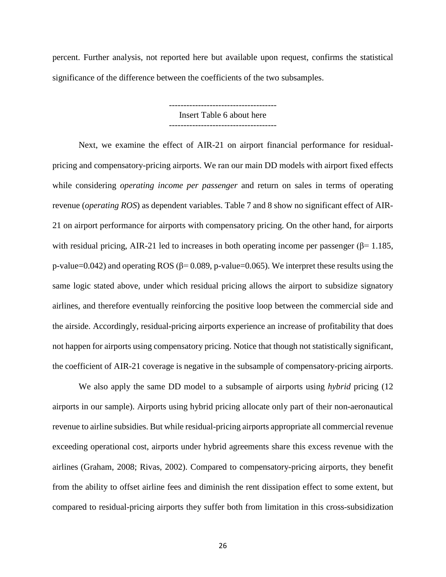percent. Further analysis, not reported here but available upon request, confirms the statistical significance of the difference between the coefficients of the two subsamples.

> ------------------------------------- Insert Table 6 about here -------------------------------------

Next, we examine the effect of AIR-21 on airport financial performance for residualpricing and compensatory-pricing airports. We ran our main DD models with airport fixed effects while considering *operating income per passenger* and return on sales in terms of operating revenue (*operating ROS*) as dependent variables. Table 7 and 8 show no significant effect of AIR-21 on airport performance for airports with compensatory pricing. On the other hand, for airports with residual pricing, AIR-21 led to increases in both operating income per passenger ( $\beta$ = 1.185, p-value=0.042) and operating ROS ( $\beta$ = 0.089, p-value=0.065). We interpret these results using the same logic stated above, under which residual pricing allows the airport to subsidize signatory airlines, and therefore eventually reinforcing the positive loop between the commercial side and the airside. Accordingly, residual-pricing airports experience an increase of profitability that does not happen for airports using compensatory pricing. Notice that though not statistically significant, the coefficient of AIR-21 coverage is negative in the subsample of compensatory-pricing airports.

We also apply the same DD model to a subsample of airports using *hybrid* pricing (12 airports in our sample). Airports using hybrid pricing allocate only part of their non-aeronautical revenue to airline subsidies. But while residual-pricing airports appropriate all commercial revenue exceeding operational cost, airports under hybrid agreements share this excess revenue with the airlines (Graham, 2008; Rivas, 2002). Compared to compensatory-pricing airports, they benefit from the ability to offset airline fees and diminish the rent dissipation effect to some extent, but compared to residual-pricing airports they suffer both from limitation in this cross-subsidization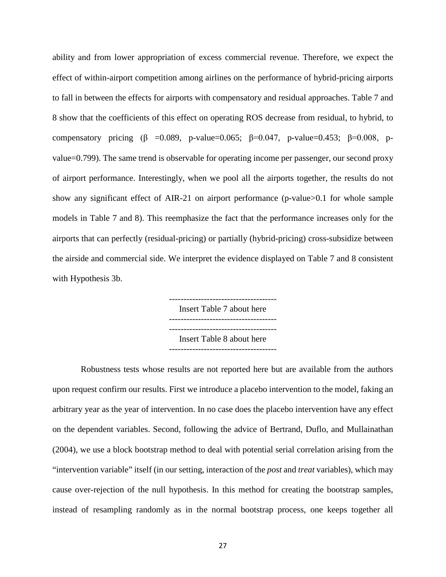ability and from lower appropriation of excess commercial revenue. Therefore, we expect the effect of within-airport competition among airlines on the performance of hybrid-pricing airports to fall in between the effects for airports with compensatory and residual approaches. Table 7 and 8 show that the coefficients of this effect on operating ROS decrease from residual, to hybrid, to compensatory pricing ( $\beta$  =0.089, p-value=0.065;  $\beta$ =0.047, p-value=0.453;  $\beta$ =0.008, pvalue=0.799). The same trend is observable for operating income per passenger, our second proxy of airport performance. Interestingly, when we pool all the airports together, the results do not show any significant effect of AIR-21 on airport performance (p-value>0.1 for whole sample models in Table 7 and 8). This reemphasize the fact that the performance increases only for the airports that can perfectly (residual-pricing) or partially (hybrid-pricing) cross-subsidize between the airside and commercial side. We interpret the evidence displayed on Table 7 and 8 consistent with Hypothesis 3b.

> ------------------------------------- Insert Table 7 about here ------------------------------------- ------------------------------------- Insert Table 8 about here

Robustness tests whose results are not reported here but are available from the authors upon request confirm our results. First we introduce a placebo intervention to the model, faking an arbitrary year as the year of intervention. In no case does the placebo intervention have any effect on the dependent variables. Second, following the advice of Bertrand, Duflo, and Mullainathan (2004), we use a block bootstrap method to deal with potential serial correlation arising from the "intervention variable" itself (in our setting, interaction of the *post* and *treat* variables), which may cause over-rejection of the null hypothesis. In this method for creating the bootstrap samples, instead of resampling randomly as in the normal bootstrap process, one keeps together all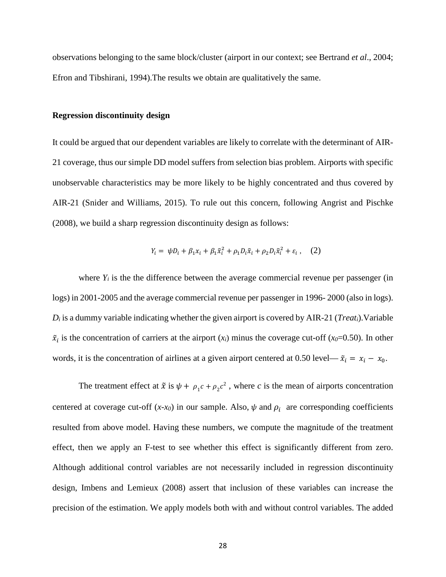observations belonging to the same block/cluster (airport in our context; see Bertrand *et al*., 2004; Efron and Tibshirani, 1994).The results we obtain are qualitatively the same.

#### **Regression discontinuity design**

It could be argued that our dependent variables are likely to correlate with the determinant of AIR-21 coverage, thus our simple DD model suffers from selection bias problem. Airports with specific unobservable characteristics may be more likely to be highly concentrated and thus covered by AIR-21 (Snider and Williams, 2015). To rule out this concern, following Angrist and Pischke (2008), we build a sharp regression discontinuity design as follows:

$$
Y_i = \psi D_i + \beta_1 x_i + \beta_1 \tilde{x}_i^2 + \rho_1 D_i \tilde{x}_i + \rho_2 D_i \tilde{x}_i^2 + \varepsilon_i , \quad (2)
$$

where  $Y_i$  is the the difference between the average commercial revenue per passenger (in logs) in 2001-2005 and the average commercial revenue per passenger in 1996- 2000 (also in logs). *Di* is a dummy variable indicating whether the given airport is covered by AIR-21 (*Treati*).Variable  $\tilde{x}_i$  is the concentration of carriers at the airport  $(x_i)$  minus the coverage cut-off ( $x_0$ =0.50). In other words, it is the concentration of airlines at a given airport centered at 0.50 level—  $\tilde{x}_i = x_i - x_0$ .

The treatment effect at  $\tilde{x}$  is  $\psi + \rho_1 c + \rho_2 c^2$ , where *c* is the mean of airports concentration centered at coverage cut-off  $(x-x_0)$  in our sample. Also,  $\psi$  and  $\rho_i$  are corresponding coefficients resulted from above model. Having these numbers, we compute the magnitude of the treatment effect, then we apply an F-test to see whether this effect is significantly different from zero. Although additional control variables are not necessarily included in regression discontinuity design, Imbens and Lemieux (2008) assert that inclusion of these variables can increase the precision of the estimation. We apply models both with and without control variables. The added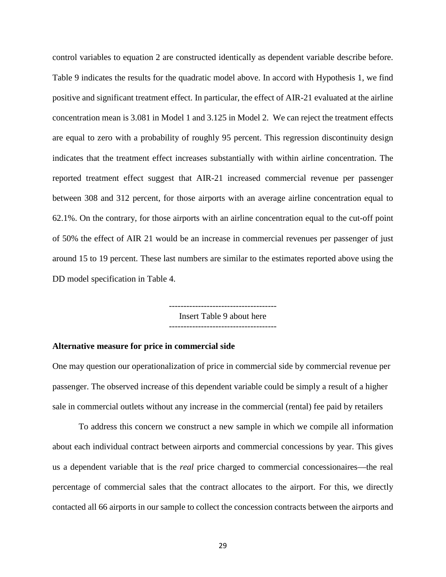control variables to equation 2 are constructed identically as dependent variable describe before. Table 9 indicates the results for the quadratic model above. In accord with Hypothesis 1, we find positive and significant treatment effect. In particular, the effect of AIR-21 evaluated at the airline concentration mean is 3.081 in Model 1 and 3.125 in Model 2. We can reject the treatment effects are equal to zero with a probability of roughly 95 percent. This regression discontinuity design indicates that the treatment effect increases substantially with within airline concentration. The reported treatment effect suggest that AIR-21 increased commercial revenue per passenger between 308 and 312 percent, for those airports with an average airline concentration equal to 62.1%. On the contrary, for those airports with an airline concentration equal to the cut-off point of 50% the effect of AIR 21 would be an increase in commercial revenues per passenger of just around 15 to 19 percent. These last numbers are similar to the estimates reported above using the DD model specification in Table 4.

> ------------------------------------- Insert Table 9 about here

> -------------------------------------

#### **Alternative measure for price in commercial side**

One may question our operationalization of price in commercial side by commercial revenue per passenger. The observed increase of this dependent variable could be simply a result of a higher sale in commercial outlets without any increase in the commercial (rental) fee paid by retailers

To address this concern we construct a new sample in which we compile all information about each individual contract between airports and commercial concessions by year. This gives us a dependent variable that is the *real* price charged to commercial concessionaires—the real percentage of commercial sales that the contract allocates to the airport. For this, we directly contacted all 66 airports in our sample to collect the concession contracts between the airports and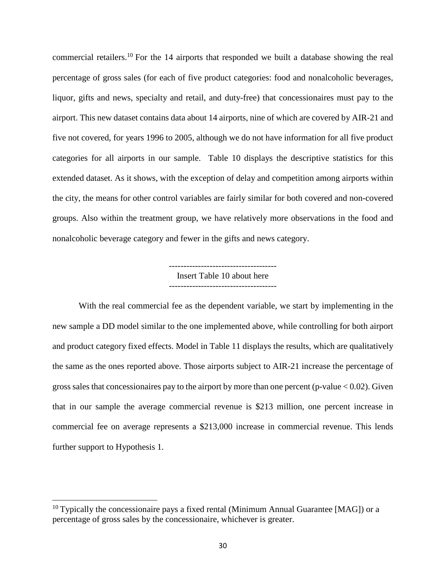commercial retailers.<sup>10</sup> For the 14 airports that responded we built a database showing the real percentage of gross sales (for each of five product categories: food and nonalcoholic beverages, liquor, gifts and news, specialty and retail, and duty-free) that concessionaires must pay to the airport. This new dataset contains data about 14 airports, nine of which are covered by AIR-21 and five not covered, for years 1996 to 2005, although we do not have information for all five product categories for all airports in our sample. Table 10 displays the descriptive statistics for this extended dataset. As it shows, with the exception of delay and competition among airports within the city, the means for other control variables are fairly similar for both covered and non-covered groups. Also within the treatment group, we have relatively more observations in the food and nonalcoholic beverage category and fewer in the gifts and news category.

> ------------------------------------- Insert Table 10 about here -------------------------------------

With the real commercial fee as the dependent variable, we start by implementing in the new sample a DD model similar to the one implemented above, while controlling for both airport and product category fixed effects. Model in Table 11 displays the results, which are qualitatively the same as the ones reported above. Those airports subject to AIR-21 increase the percentage of gross sales that concessionaires pay to the airport by more than one percent (p-value  $< 0.02$ ). Given that in our sample the average commercial revenue is \$213 million, one percent increase in commercial fee on average represents a \$213,000 increase in commercial revenue. This lends further support to Hypothesis 1.

 $10$  Typically the concessionaire pays a fixed rental (Minimum Annual Guarantee [MAG]) or a percentage of gross sales by the concessionaire, whichever is greater.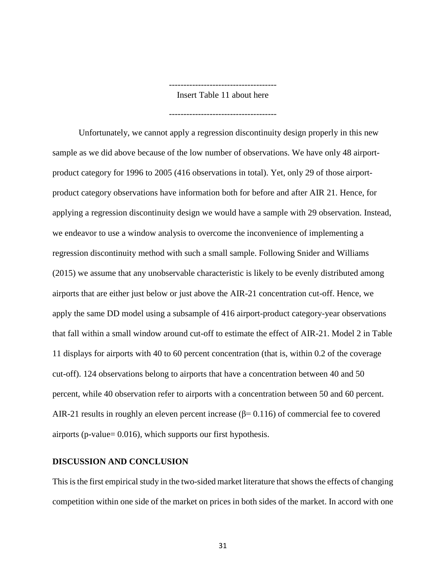-------------------------------------

Insert Table 11 about here

-------------------------------------

Unfortunately, we cannot apply a regression discontinuity design properly in this new sample as we did above because of the low number of observations. We have only 48 airportproduct category for 1996 to 2005 (416 observations in total). Yet, only 29 of those airportproduct category observations have information both for before and after AIR 21. Hence, for applying a regression discontinuity design we would have a sample with 29 observation. Instead, we endeavor to use a window analysis to overcome the inconvenience of implementing a regression discontinuity method with such a small sample. Following Snider and Williams (2015) we assume that any unobservable characteristic is likely to be evenly distributed among airports that are either just below or just above the AIR-21 concentration cut-off. Hence, we apply the same DD model using a subsample of 416 airport-product category-year observations that fall within a small window around cut-off to estimate the effect of AIR-21. Model 2 in Table 11 displays for airports with 40 to 60 percent concentration (that is, within 0.2 of the coverage cut-off). 124 observations belong to airports that have a concentration between 40 and 50 percent, while 40 observation refer to airports with a concentration between 50 and 60 percent. AIR-21 results in roughly an eleven percent increase ( $\beta$ = 0.116) of commercial fee to covered airports (p-value= 0.016), which supports our first hypothesis.

### **DISCUSSION AND CONCLUSION**

This is the first empirical study in the two-sided market literature that shows the effects of changing competition within one side of the market on prices in both sides of the market. In accord with one

31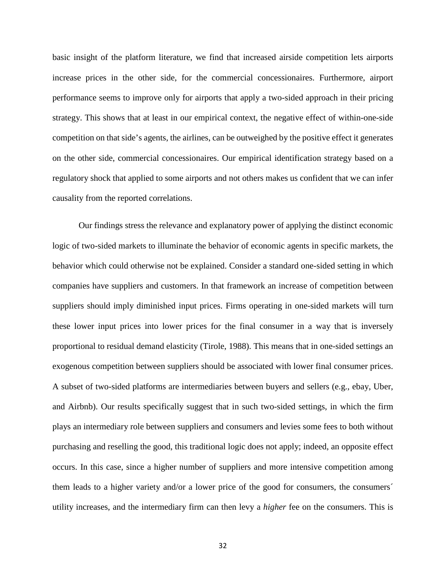basic insight of the platform literature, we find that increased airside competition lets airports increase prices in the other side, for the commercial concessionaires. Furthermore, airport performance seems to improve only for airports that apply a two-sided approach in their pricing strategy. This shows that at least in our empirical context, the negative effect of within-one-side competition on that side's agents, the airlines, can be outweighed by the positive effect it generates on the other side, commercial concessionaires. Our empirical identification strategy based on a regulatory shock that applied to some airports and not others makes us confident that we can infer causality from the reported correlations.

Our findings stress the relevance and explanatory power of applying the distinct economic logic of two-sided markets to illuminate the behavior of economic agents in specific markets, the behavior which could otherwise not be explained. Consider a standard one-sided setting in which companies have suppliers and customers. In that framework an increase of competition between suppliers should imply diminished input prices. Firms operating in one-sided markets will turn these lower input prices into lower prices for the final consumer in a way that is inversely proportional to residual demand elasticity (Tirole, 1988). This means that in one-sided settings an exogenous competition between suppliers should be associated with lower final consumer prices. A subset of two-sided platforms are intermediaries between buyers and sellers (e.g., ebay, Uber, and Airbnb). Our results specifically suggest that in such two-sided settings, in which the firm plays an intermediary role between suppliers and consumers and levies some fees to both without purchasing and reselling the good, this traditional logic does not apply; indeed, an opposite effect occurs. In this case, since a higher number of suppliers and more intensive competition among them leads to a higher variety and/or a lower price of the good for consumers, the consumers´ utility increases, and the intermediary firm can then levy a *higher* fee on the consumers. This is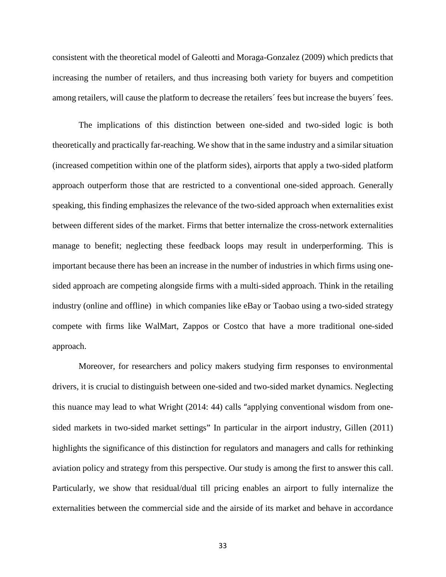consistent with the theoretical model of Galeotti and Moraga-Gonzalez (2009) which predicts that increasing the number of retailers, and thus increasing both variety for buyers and competition among retailers, will cause the platform to decrease the retailers' fees but increase the buyers' fees.

The implications of this distinction between one-sided and two-sided logic is both theoretically and practically far-reaching. We show that in the same industry and a similar situation (increased competition within one of the platform sides), airports that apply a two-sided platform approach outperform those that are restricted to a conventional one-sided approach. Generally speaking, this finding emphasizes the relevance of the two-sided approach when externalities exist between different sides of the market. Firms that better internalize the cross-network externalities manage to benefit; neglecting these feedback loops may result in underperforming. This is important because there has been an increase in the number of industries in which firms using onesided approach are competing alongside firms with a multi-sided approach. Think in the retailing industry (online and offline) in which companies like eBay or Taobao using a two-sided strategy compete with firms like WalMart, Zappos or Costco that have a more traditional one-sided approach.

Moreover, for researchers and policy makers studying firm responses to environmental drivers, it is crucial to distinguish between one-sided and two-sided market dynamics. Neglecting this nuance may lead to what Wright (2014: 44) calls "applying conventional wisdom from onesided markets in two-sided market settings" In particular in the airport industry, Gillen (2011) highlights the significance of this distinction for regulators and managers and calls for rethinking aviation policy and strategy from this perspective. Our study is among the first to answer this call. Particularly, we show that residual/dual till pricing enables an airport to fully internalize the externalities between the commercial side and the airside of its market and behave in accordance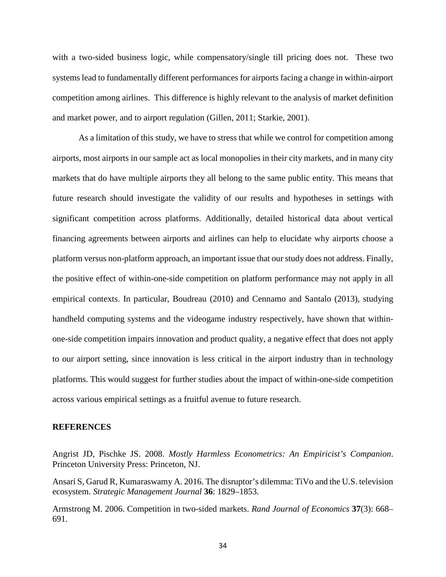with a two-sided business logic, while compensatory/single till pricing does not. These two systems lead to fundamentally different performances for airports facing a change in within-airport competition among airlines. This difference is highly relevant to the analysis of market definition and market power, and to airport regulation (Gillen, 2011; Starkie, 2001).

As a limitation of this study, we have to stress that while we control for competition among airports, most airports in our sample act as local monopolies in their city markets, and in many city markets that do have multiple airports they all belong to the same public entity. This means that future research should investigate the validity of our results and hypotheses in settings with significant competition across platforms. Additionally, detailed historical data about vertical financing agreements between airports and airlines can help to elucidate why airports choose a platform versus non-platform approach, an important issue that our study does not address. Finally, the positive effect of within-one-side competition on platform performance may not apply in all empirical contexts. In particular, Boudreau (2010) and Cennamo and Santalo (2013), studying handheld computing systems and the videogame industry respectively, have shown that withinone-side competition impairs innovation and product quality, a negative effect that does not apply to our airport setting, since innovation is less critical in the airport industry than in technology platforms. This would suggest for further studies about the impact of within-one-side competition across various empirical settings as a fruitful avenue to future research.

#### **REFERENCES**

Angrist JD, Pischke JS. 2008. *Mostly Harmless Econometrics: An Empiricist's Companion*. Princeton University Press: Princeton, NJ.

Ansari S, Garud R, Kumaraswamy A. 2016. The disruptor's dilemma: TiVo and the U.S. television ecosystem. *Strategic Management Journal* **36**: 1829–1853.

Armstrong M. 2006. Competition in two-sided markets. *Rand Journal of Economics* **37**(3): 668– 691.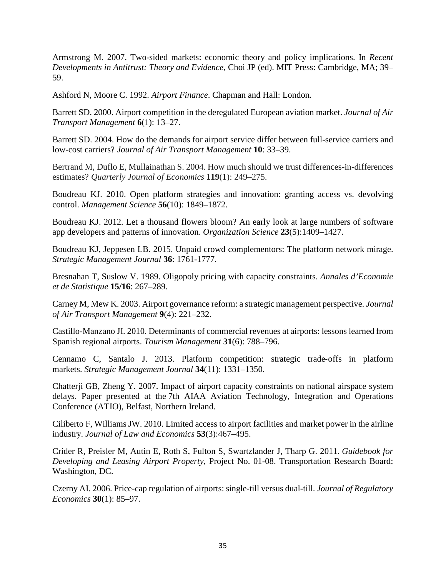Armstrong M. 2007. Two-sided markets: economic theory and policy implications. In *Recent Developments in Antitrust: Theory and Evidence,* Choi JP (ed). MIT Press: Cambridge, MA; 39– 59.

Ashford N, Moore C. 1992. *Airport Finance*. Chapman and Hall: London.

Barrett SD. 2000. Airport competition in the deregulated European aviation market. *Journal of Air Transport Management* **6**(1): 13–27.

Barrett SD. 2004. How do the demands for airport service differ between full-service carriers and low-cost carriers? *Journal of Air Transport Management* **10**: 33–39.

Bertrand M, Duflo E, Mullainathan S. 2004. How much should we trust differences-in-differences estimates? *Quarterly Journal of Economics* **119**(1): 249–275.

Boudreau KJ. 2010. Open platform strategies and innovation: granting access vs. devolving control. *Management Science* **56**(10): 1849–1872.

Boudreau KJ. 2012. Let a thousand flowers bloom? An early look at large numbers of software app developers and patterns of innovation. *Organization Science* **23**(5):1409–1427.

Boudreau KJ, Jeppesen LB. 2015. Unpaid crowd complementors: The platform network mirage. *Strategic Management Journal* **36**: 1761-1777.

Bresnahan T, Suslow V. 1989. Oligopoly pricing with capacity constraints. *Annales d'Economie et de Statistique* **15/16**: 267–289.

Carney M, Mew K. 2003. Airport governance reform: a strategic management perspective. *Journal of Air Transport Management* **9**(4): 221–232.

Castillo-Manzano JI. 2010. Determinants of commercial revenues at airports: lessons learned from Spanish regional airports. *Tourism Management* **31**(6): 788–796.

Cennamo C, Santalo J. 2013. Platform competition: strategic trade‐offs in platform markets. *Strategic Management Journal* **34**(11): 1331–1350.

Chatterji GB, Zheng Y. 2007. Impact of airport capacity constraints on national airspace system delays. Paper presented at the 7th AIAA Aviation Technology, Integration and Operations Conference (ATIO), Belfast, Northern Ireland.

Ciliberto F, Williams JW. 2010. Limited access to airport facilities and market power in the airline industry. *Journal of Law and Economics* **53**(3):467–495.

Crider R, Preisler M, Autin E, Roth S, Fulton S, Swartzlander J, Tharp G. 2011. *Guidebook for Developing and Leasing Airport Property*, Project No. 01-08. Transportation Research Board: Washington, DC.

Czerny AI. 2006. Price-cap regulation of airports: single-till versus dual-till. *Journal of Regulatory Economics* **30**(1): 85–97.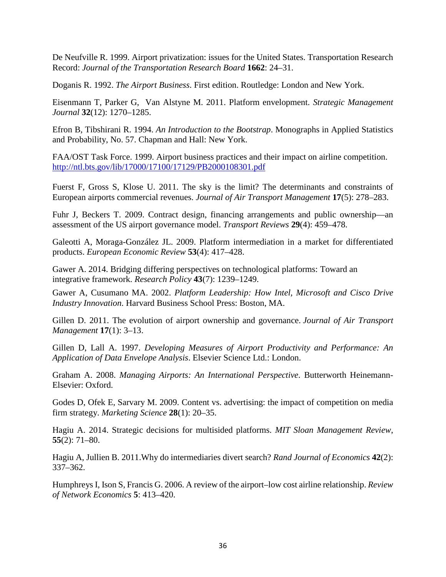De Neufville R. 1999. Airport privatization: issues for the United States. Transportation Research Record: *Journal of the Transportation Research Board* **1662**: 24–31.

Doganis R. 1992. *The Airport Business*. First edition. Routledge: London and New York.

Eisenmann T, Parker G, Van Alstyne M. 2011. Platform envelopment. *Strategic Management Journal* **32**(12): 1270–1285.

Efron B, Tibshirani R. 1994. *An Introduction to the Bootstrap*. Monographs in Applied Statistics and Probability, No. 57. Chapman and Hall: New York.

FAA/OST Task Force. 1999. Airport business practices and their impact on airline competition. <http://ntl.bts.gov/lib/17000/17100/17129/PB2000108301.pdf>

Fuerst F, Gross S, Klose U. 2011. The sky is the limit? The determinants and constraints of European airports commercial revenues. *Journal of Air Transport Management* **17**(5): 278–283.

Fuhr J, Beckers T. 2009. Contract design, financing arrangements and public ownership—an assessment of the US airport governance model. *Transport Reviews* **29**(4): 459–478.

Galeotti A, Moraga-González JL. 2009. Platform intermediation in a market for differentiated products. *European Economic Review* **53**(4): 417–428.

Gawer A. 2014. Bridging differing perspectives on technological platforms: Toward an integrative framework. *Research Policy* **43**(7): 1239–1249.

Gawer A, Cusumano MA. 2002. *Platform Leadership: How Intel, Microsoft and Cisco Drive Industry Innovation*. Harvard Business School Press: Boston, MA.

Gillen D. 2011. The evolution of airport ownership and governance. *Journal of Air Transport Management* **17**(1): 3–13.

Gillen D, Lall A. 1997. *Developing Measures of Airport Productivity and Performance: An Application of Data Envelope Analysis*. Elsevier Science Ltd.: London.

Graham A. 2008. *Managing Airports: An International Perspective*. Butterworth Heinemann-Elsevier: Oxford.

Godes D, Ofek E, Sarvary M. 2009. Content vs. advertising: the impact of competition on media firm strategy. *Marketing Science* **28**(1): 20–35.

Hagiu A. 2014. Strategic decisions for multisided platforms. *MIT Sloan Management Review*, **55**(2): 71–80.

Hagiu A, Jullien B. 2011.Why do intermediaries divert search? *Rand Journal of Economics* **42**(2): 337–362.

Humphreys I, Ison S, Francis G. 2006. A review of the airport–low cost airline relationship. *Review of Network Economics* **5**: 413–420.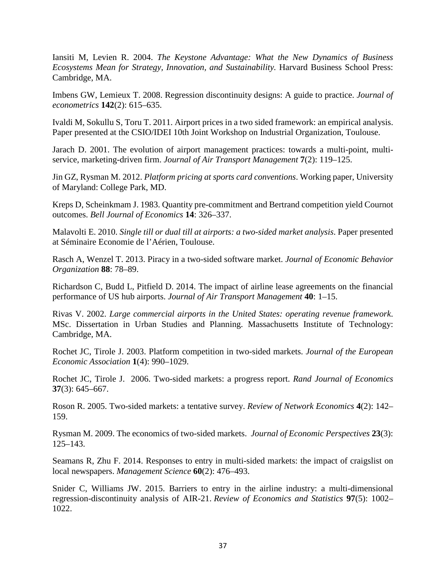Iansiti M, Levien R. 2004. *The Keystone Advantage: What the New Dynamics of Business Ecosystems Mean for Strategy, Innovation, and Sustainability.* Harvard Business School Press: Cambridge, MA.

Imbens GW, Lemieux T. 2008. Regression discontinuity designs: A guide to practice. *Journal of econometrics* **142**(2): 615–635.

Ivaldi M, Sokullu S, Toru T. 2011. Airport prices in a two sided framework: an empirical analysis. Paper presented at the CSIO/IDEI 10th Joint Workshop on Industrial Organization, Toulouse.

Jarach D. 2001. The evolution of airport management practices: towards a multi-point, multiservice, marketing-driven firm. *Journal of Air Transport Management* **7**(2): 119–125.

Jin GZ, Rysman M. 2012. *Platform pricing at sports card conventions*. Working paper, University of Maryland: College Park, MD.

Kreps D, Scheinkmam J. 1983. Quantity pre-commitment and Bertrand competition yield Cournot outcomes. *Bell Journal of Economics* **14**: 326–337.

Malavolti E. 2010. *Single till or dual till at airports: a two-sided market analysis*. Paper presented at Séminaire Economie de l'Aérien, Toulouse.

Rasch A, Wenzel T. 2013. Piracy in a two-sided software market. *Journal of Economic Behavior Organization* **88**: 78–89.

Richardson C, Budd L, Pitfield D. 2014. The impact of airline lease agreements on the financial performance of US hub airports. *Journal of Air Transport Management* **40**: 1–15.

Rivas V. 2002. *Large commercial airports in the United States: operating revenue framework*. MSc. Dissertation in Urban Studies and Planning. Massachusetts Institute of Technology: Cambridge, MA.

Rochet JC, Tirole J. 2003. Platform competition in two-sided markets. *Journal of the European Economic Association* **1**(4): 990–1029.

Rochet JC, Tirole J. 2006. Two-sided markets: a progress report. *Rand Journal of Economics* **37**(3): 645–667.

Roson R. 2005. Two-sided markets: a tentative survey. *Review of Network Economics* **4**(2): 142– 159.

Rysman M. 2009. The economics of two-sided markets. *Journal of Economic Perspectives* **23**(3): 125–143.

Seamans R, Zhu F. 2014. Responses to entry in multi-sided markets: the impact of craigslist on local newspapers. *Management Science* **60**(2): 476–493.

Snider C, Williams JW. 2015. Barriers to entry in the airline industry: a multi-dimensional regression-discontinuity analysis of AIR-21. *Review of Economics and Statistics* **97**(5): 1002– 1022.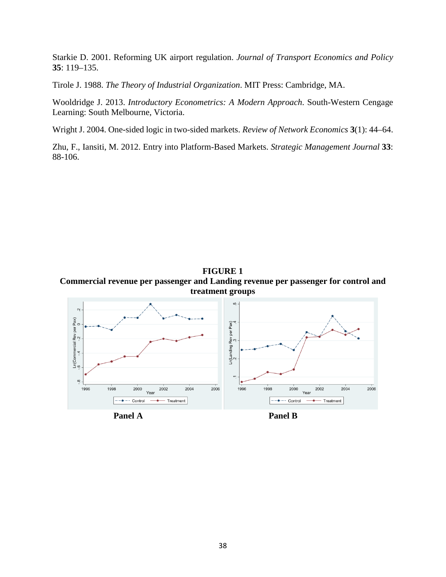Starkie D. 2001. Reforming UK airport regulation. *Journal of Transport Economics and Policy* **35**: 119–135.

Tirole J. 1988. *The Theory of Industrial Organization*. MIT Press: Cambridge, MA.

Wooldridge J. 2013. *Introductory Econometrics: A Modern Approach*. South-Western Cengage Learning: South Melbourne, Victoria.

Wright J. 2004. One-sided logic in two-sided markets. *Review of Network Economics* **3**(1): 44–64.

Zhu, F., Iansiti, M. 2012. Entry into Platform-Based Markets. *Strategic Management Journal* **33**: 88-106.



2006

 $2004$ 





 $---**+** \t**Control**$ 

 $2000$ 

Year

 $2002$ 

Treatment

1998

 $\ddot{\circ}$ 

1996

2000

 $\bullet$  - Control

Year

 $2004$ 

 $2002$ 

Treatment

2006

1998

1996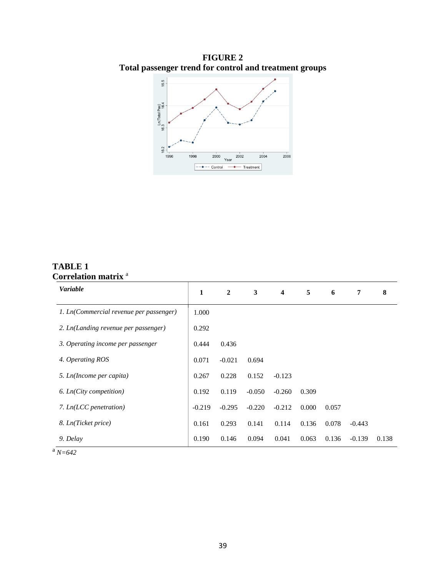**FIGURE 2 Total passenger trend for control and treatment groups**



## **TABLE 1 Correlation matrix** <sup>a</sup>

| <b>Variable</b>                         | 1        | $\overline{2}$ | 3        | $\overline{\mathbf{4}}$ | 5     | 6     | 7        | 8     |
|-----------------------------------------|----------|----------------|----------|-------------------------|-------|-------|----------|-------|
| 1. Ln(Commercial revenue per passenger) | 1.000    |                |          |                         |       |       |          |       |
| 2. Ln(Landing revenue per passenger)    | 0.292    |                |          |                         |       |       |          |       |
| 3. Operating income per passenger       | 0.444    | 0.436          |          |                         |       |       |          |       |
| 4. Operating ROS                        | 0.071    | $-0.021$       | 0.694    |                         |       |       |          |       |
| 5. Ln(Income per capita)                | 0.267    | 0.228          | 0.152    | $-0.123$                |       |       |          |       |
| 6. Ln(City competition)                 | 0.192    | 0.119          | $-0.050$ | $-0.260$                | 0.309 |       |          |       |
| 7. Ln(LCC penetration)                  | $-0.219$ | $-0.295$       | $-0.220$ | $-0.212$                | 0.000 | 0.057 |          |       |
| 8. Ln(Ticket price)                     | 0.161    | 0.293          | 0.141    | 0.114                   | 0.136 | 0.078 | $-0.443$ |       |
| 9. Delay                                | 0.190    | 0.146          | 0.094    | 0.041                   | 0.063 | 0.136 | $-0.139$ | 0.138 |

 $a \overline{N=642}$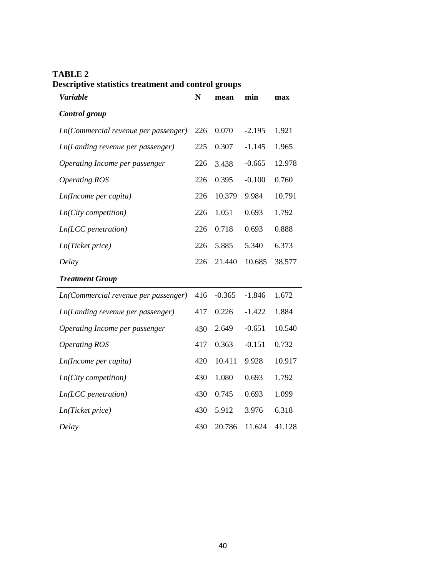| .<br><i>under in cuttinging units contri</i> of<br><b>Variable</b> | $\mathbf N$ | mean     | min      | max    |
|--------------------------------------------------------------------|-------------|----------|----------|--------|
| Control group                                                      |             |          |          |        |
| Ln(Commercial revenue per passenger)                               | 226         | 0.070    | $-2.195$ | 1.921  |
| Ln(Landing revenue per passenger)                                  | 225         | 0.307    | $-1.145$ | 1.965  |
| Operating Income per passenger                                     | 226         | 3.438    | $-0.665$ | 12.978 |
| <b>Operating ROS</b>                                               | 226         | 0.395    | $-0.100$ | 0.760  |
| Ln(Income per capita)                                              | 226         | 10.379   | 9.984    | 10.791 |
| $Ln(City$ competition)                                             | 226         | 1.051    | 0.693    | 1.792  |
| $Ln(ICC\, penetration)$                                            | 226         | 0.718    | 0.693    | 0.888  |
| Ln(Ticket price)                                                   | 226         | 5.885    | 5.340    | 6.373  |
| Delay                                                              | 226         | 21.440   | 10.685   | 38.577 |
| <b>Treatment Group</b>                                             |             |          |          |        |
| Ln(Commercial revenue per passenger)                               | 416         | $-0.365$ | $-1.846$ | 1.672  |
| <i>Ln(Landing revenue per passenger)</i>                           | 417         | 0.226    | $-1.422$ | 1.884  |
| Operating Income per passenger                                     | 430         | 2.649    | $-0.651$ | 10.540 |
| <b>Operating ROS</b>                                               | 417         | 0.363    | $-0.151$ | 0.732  |
| Ln(Income per capita)                                              | 420         | 10.411   | 9.928    | 10.917 |
| Ln(City competition)                                               | 430         | 1.080    | 0.693    | 1.792  |
| $Ln(ICC\, penetration)$                                            | 430         | 0.745    | 0.693    | 1.099  |
| Ln(Ticket price)                                                   | 430         | 5.912    | 3.976    | 6.318  |
| Delay                                                              | 430         | 20.786   | 11.624   | 41.128 |

**TABLE 2 Descriptive statistics treatment and control groups**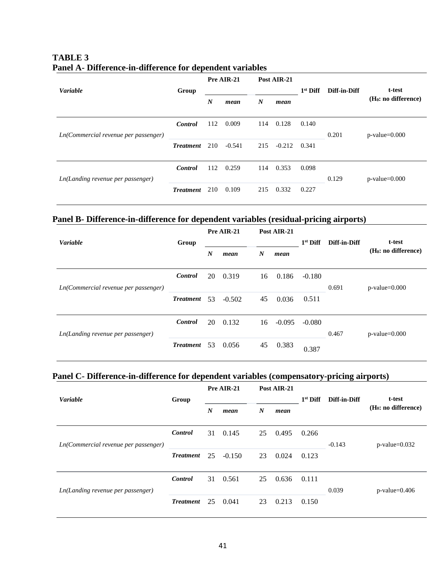| <b>Variable</b>                      |                  | Pre AIR-21<br>Post AIR-21 |          |                  | Diff-in-Diff | t-test     |       |                        |
|--------------------------------------|------------------|---------------------------|----------|------------------|--------------|------------|-------|------------------------|
|                                      | Group            | $\boldsymbol{N}$          | mean     | $\boldsymbol{N}$ | mean         | $1st$ Diff |       | $(H_0: no difference)$ |
| Ln(Commercial revenue per passenger) | <b>Control</b>   | 112                       | 0.009    | 114              | 0.128        | 0.140      | 0.201 | $p$ -value= $0.000$    |
|                                      | <b>Treatment</b> | 210                       | $-0.541$ | 215              | $-0.212$     | 0.341      |       |                        |
| Ln(Landing revenue per passenger)    | <b>Control</b>   | 112                       | 0.259    | 114              | 0.353        | 0.098      | 0.129 | $p$ -value= $0.000$    |
|                                      | <b>Treatment</b> | 210                       | 0.109    | 215              | 0.332        | 0.227      |       |                        |

### **TABLE 3 Panel A- Difference-in-difference for dependent variables**

## **Panel B- Difference-in-difference for dependent variables (residual-pricing airports)**

|                                      |                  | Pre AIR-21       |          | Post AIR-21      |          |            |              |                                  |
|--------------------------------------|------------------|------------------|----------|------------------|----------|------------|--------------|----------------------------------|
| <b>Variable</b>                      | Group            | $\boldsymbol{N}$ | mean     | $\boldsymbol{N}$ | mean     | $1st$ Diff | Diff-in-Diff | t-test<br>$(H_0: no difference)$ |
| Ln(Commercial revenue per passenger) | <b>Control</b>   | 20               | 0.319    | 16               | 0.186    | $-0.180$   | 0.691        | $p$ -value= $0.000$              |
|                                      | <b>Treatment</b> | 53               | $-0.502$ | 45               | 0.036    | 0.511      |              |                                  |
| Ln(Landing revenue per passenger)    | <b>Control</b>   | 20               | 0.132    | 16               | $-0.095$ | $-0.080$   | 0.467        | $p$ -value=0.000                 |
|                                      | <b>Treatment</b> | 53               | 0.056    | 45               | 0.383    | 0.387      |              |                                  |

### **Panel C- Difference-in-difference for dependent variables (compensatory-pricing airports)**

|                                      |                  | Pre AIR-21<br>Post AIR-21 |          |                  |       |            |              |                                  |
|--------------------------------------|------------------|---------------------------|----------|------------------|-------|------------|--------------|----------------------------------|
| <b>Variable</b>                      | Group            |                           |          |                  |       | $1st$ Diff | Diff-in-Diff | t-test                           |
|                                      |                  | $\boldsymbol{N}$          | mean     | $\boldsymbol{N}$ | mean  |            |              | (H <sub>0</sub> : no difference) |
| Ln(Commercial revenue per passenger) | <b>Control</b>   | 31                        | 0.145    | 25               | 0.495 | 0.266      | $-0.143$     | $p$ -value=0.032                 |
|                                      | <b>Treatment</b> | 25                        | $-0.150$ | 23               | 0.024 | 0.123      |              |                                  |
| Ln(Landing revenue per passenger)    | <b>Control</b>   | 31                        | 0.561    | 25               | 0.636 | 0.111      | 0.039        | $p$ -value=0.406                 |
|                                      | <b>Treatment</b> | 25                        | 0.041    | 23               | 0.213 | 0.150      |              |                                  |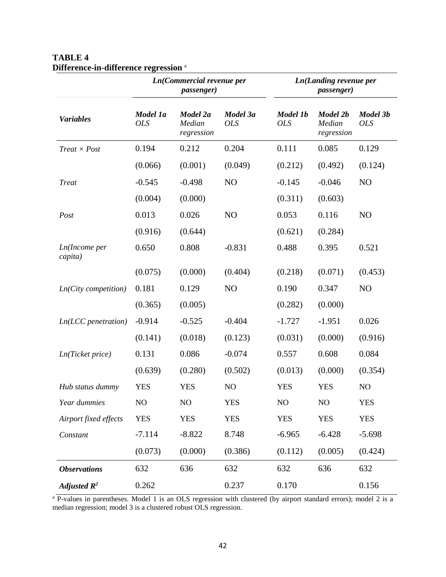|                                  |                        | Ln(Commercial revenue per<br><i>passenger</i> ) |                        |                        | Ln(Landing revenue per<br><i>passenger</i> ) |                        |  |  |
|----------------------------------|------------------------|-------------------------------------------------|------------------------|------------------------|----------------------------------------------|------------------------|--|--|
| <b>Variables</b>                 | Model 1a<br><b>OLS</b> | Model 2a<br>Median<br>regression                | Model 3a<br><b>OLS</b> | Model 1b<br><b>OLS</b> | Model 2b<br>Median<br>regression             | Model 3b<br><b>OLS</b> |  |  |
| $Treat \times Post$              | 0.194                  | 0.212                                           | 0.204                  | 0.111                  | 0.085                                        | 0.129                  |  |  |
|                                  | (0.066)                | (0.001)                                         | (0.049)                | (0.212)                | (0.492)                                      | (0.124)                |  |  |
| <b>Treat</b>                     | $-0.545$               | $-0.498$                                        | N <sub>O</sub>         | $-0.145$               | $-0.046$                                     | N <sub>O</sub>         |  |  |
|                                  | (0.004)                | (0.000)                                         |                        | (0.311)                | (0.603)                                      |                        |  |  |
| Post                             | 0.013                  | 0.026                                           | N <sub>O</sub>         | 0.053                  | 0.116                                        | N <sub>O</sub>         |  |  |
|                                  | (0.916)                | (0.644)                                         |                        | (0.621)                | (0.284)                                      |                        |  |  |
| <i>Ln</i> (Income per<br>capita) | 0.650                  | 0.808                                           | $-0.831$               | 0.488                  | 0.395                                        | 0.521                  |  |  |
|                                  | (0.075)                | (0.000)                                         | (0.404)                | (0.218)                | (0.071)                                      | (0.453)                |  |  |
| $Ln(City$ competition)           | 0.181                  | 0.129                                           | N <sub>O</sub>         | 0.190                  | 0.347                                        | N <sub>O</sub>         |  |  |
|                                  | (0.365)                | (0.005)                                         |                        | (0.282)                | (0.000)                                      |                        |  |  |
| $Ln(LCC\, penetration)$          | $-0.914$               | $-0.525$                                        | $-0.404$               | $-1.727$               | $-1.951$                                     | 0.026                  |  |  |
|                                  | (0.141)                | (0.018)                                         | (0.123)                | (0.031)                | (0.000)                                      | (0.916)                |  |  |
| Ln(Ticket price)                 | 0.131                  | 0.086                                           | $-0.074$               | 0.557                  | 0.608                                        | 0.084                  |  |  |
|                                  | (0.639)                | (0.280)                                         | (0.502)                | (0.013)                | (0.000)                                      | (0.354)                |  |  |
| Hub status dummy                 | <b>YES</b>             | <b>YES</b>                                      | NO                     | <b>YES</b>             | <b>YES</b>                                   | NO                     |  |  |
| Year dummies                     | NO                     | NO                                              | <b>YES</b>             | NO                     | NO                                           | <b>YES</b>             |  |  |
| Airport fixed effects            | <b>YES</b>             | <b>YES</b>                                      | <b>YES</b>             | <b>YES</b>             | <b>YES</b>                                   | <b>YES</b>             |  |  |
| Constant                         | $-7.114$               | $-8.822$                                        | 8.748                  | $-6.965$               | $-6.428$                                     | $-5.698$               |  |  |
|                                  | (0.073)                | (0.000)                                         | (0.386)                | (0.112)                | (0.005)                                      | (0.424)                |  |  |
| <b>Observations</b>              | 632                    | 636                                             | 632                    | 632                    | 636                                          | 632                    |  |  |
| Adjusted $\mathbb{R}^2$          | 0.262                  |                                                 | 0.237                  | 0.170                  |                                              | 0.156                  |  |  |

## **TABLE 4 Difference-in-difference regression** <sup>a</sup>

<sup>a</sup> P-values in parentheses. Model 1 is an OLS regression with clustered (by airport standard errors); model 2 is a median regression; model 3 is a clustered robust OLS regression.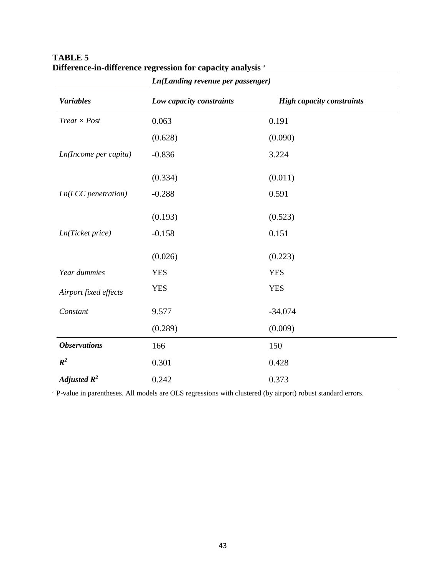|                         | <b>Ln(Landing revenue per passenger)</b> |                                  |
|-------------------------|------------------------------------------|----------------------------------|
| <b>Variables</b>        | Low capacity constraints                 | <b>High capacity constraints</b> |
| $Treat \times Post$     | 0.063                                    | 0.191                            |
|                         | (0.628)                                  | (0.090)                          |
| Ln(Income per capita)   | $-0.836$                                 | 3.224                            |
|                         | (0.334)                                  | (0.011)                          |
| $Ln(LCC\, penetration)$ | $-0.288$                                 | 0.591                            |
|                         | (0.193)                                  | (0.523)                          |
| Ln(Ticket price)        | $-0.158$                                 | 0.151                            |
|                         | (0.026)                                  | (0.223)                          |
| Year dummies            | <b>YES</b>                               | <b>YES</b>                       |
| Airport fixed effects   | <b>YES</b>                               | <b>YES</b>                       |
| Constant                | 9.577                                    | $-34.074$                        |
|                         | (0.289)                                  | (0.009)                          |
| <b>Observations</b>     | 166                                      | 150                              |
| $R^2$                   | 0.301                                    | 0.428                            |
| Adjusted $\mathbb{R}^2$ | 0.242                                    | 0.373                            |

## **TABLE 5 Difference-in-difference regression for capacity analysis** <sup>a</sup>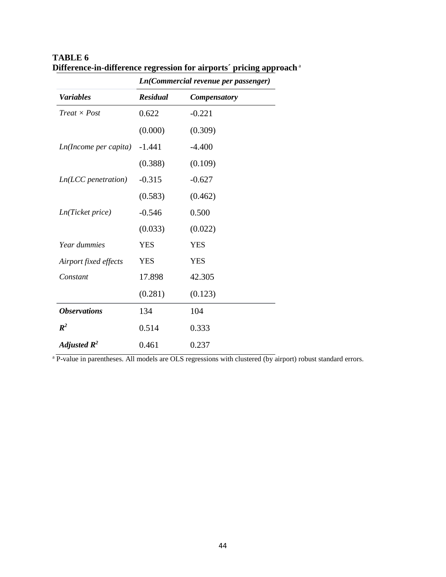|                            | Ln(Commercial revenue per passenger) |                     |  |  |  |  |
|----------------------------|--------------------------------------|---------------------|--|--|--|--|
| <b>Variables</b>           | <b>Residual</b>                      | <b>Compensatory</b> |  |  |  |  |
| $Treat \times Post$        | 0.622                                | $-0.221$            |  |  |  |  |
|                            | (0.000)                              | (0.309)             |  |  |  |  |
| Ln(Income per capita)      | $-1.441$                             | $-4.400$            |  |  |  |  |
|                            | (0.388)                              | (0.109)             |  |  |  |  |
| $Ln(LCC)$ penetration)     | $-0.315$                             | $-0.627$            |  |  |  |  |
|                            | (0.583)                              | (0.462)             |  |  |  |  |
| Ln(Ticket price)           | $-0.546$                             | 0.500               |  |  |  |  |
|                            | (0.033)                              | (0.022)             |  |  |  |  |
| Year dummies               | <b>YES</b>                           | <b>YES</b>          |  |  |  |  |
| Airport fixed effects      | <b>YES</b>                           | <b>YES</b>          |  |  |  |  |
| Constant                   | 17.898                               | 42.305              |  |  |  |  |
|                            | (0.281)                              | (0.123)             |  |  |  |  |
| <i><b>Observations</b></i> | 134                                  | 104                 |  |  |  |  |
| $R^2$                      | 0.514                                | 0.333               |  |  |  |  |
| Adjusted $\mathbf{R}^2$    | 0.461                                | 0.237               |  |  |  |  |

## **TABLE 6 Difference-in-difference regression for airports´ pricing approach** <sup>a</sup>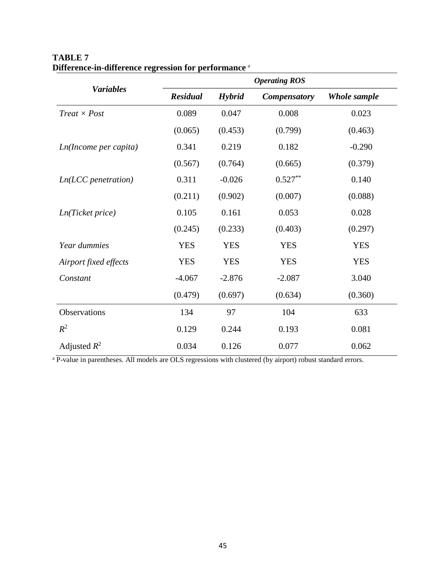|                         | <b>Operating ROS</b> |               |                     |              |  |  |  |
|-------------------------|----------------------|---------------|---------------------|--------------|--|--|--|
| <b>Variables</b>        | <b>Residual</b>      | <b>Hybrid</b> | <b>Compensatory</b> | Whole sample |  |  |  |
| $Treat \times Post$     | 0.089                | 0.047         | 0.008               | 0.023        |  |  |  |
|                         | (0.065)              | (0.453)       | (0.799)             | (0.463)      |  |  |  |
| Ln(Income per capita)   | 0.341                | 0.219         | 0.182               | $-0.290$     |  |  |  |
|                         | (0.567)              | (0.764)       | (0.665)             | (0.379)      |  |  |  |
| $Ln(LCC\, penetration)$ | 0.311                | $-0.026$      | $0.527**$           | 0.140        |  |  |  |
|                         | (0.211)              | (0.902)       | (0.007)             | (0.088)      |  |  |  |
| Ln(Ticket price)        | 0.105                | 0.161         | 0.053               | 0.028        |  |  |  |
|                         | (0.245)              | (0.233)       | (0.403)             | (0.297)      |  |  |  |
| Year dummies            | <b>YES</b>           | <b>YES</b>    | <b>YES</b>          | <b>YES</b>   |  |  |  |
| Airport fixed effects   | <b>YES</b>           | <b>YES</b>    | <b>YES</b>          | <b>YES</b>   |  |  |  |
| Constant                | $-4.067$             | $-2.876$      | $-2.087$            | 3.040        |  |  |  |
|                         | (0.479)              | (0.697)       | (0.634)             | (0.360)      |  |  |  |
| Observations            | 134                  | 97            | 104                 | 633          |  |  |  |
| $R^2$                   | 0.129                | 0.244         | 0.193               | 0.081        |  |  |  |
| Adjusted $R^2$          | 0.034                | 0.126         | 0.077               | 0.062        |  |  |  |

## **TABLE 7 Difference-in-difference regression for performance** <sup>a</sup>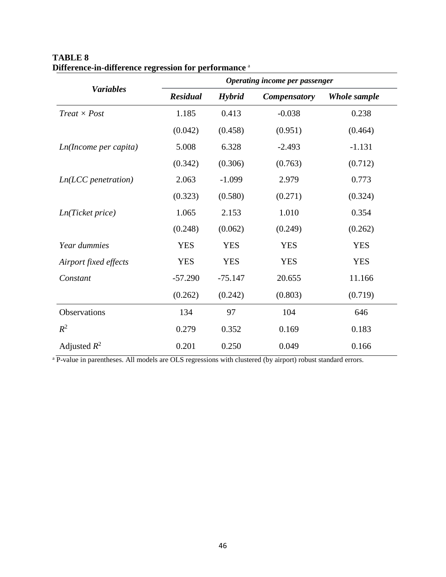|                         | Operating income per passenger |               |                     |                     |  |  |  |  |
|-------------------------|--------------------------------|---------------|---------------------|---------------------|--|--|--|--|
| <b>Variables</b>        | <b>Residual</b>                | <b>Hybrid</b> | <b>Compensatory</b> | <b>Whole sample</b> |  |  |  |  |
| $Treat \times Post$     | 1.185                          | 0.413         | $-0.038$            | 0.238               |  |  |  |  |
|                         | (0.042)                        | (0.458)       | (0.951)             | (0.464)             |  |  |  |  |
| Ln(Income per capita)   | 5.008                          | 6.328         | $-2.493$            | $-1.131$            |  |  |  |  |
|                         | (0.342)                        | (0.306)       | (0.763)             | (0.712)             |  |  |  |  |
| $Ln(LCC\, penetration)$ | 2.063                          | $-1.099$      | 2.979               | 0.773               |  |  |  |  |
|                         | (0.323)                        | (0.580)       | (0.271)             | (0.324)             |  |  |  |  |
| Ln(Ticket price)        | 1.065                          | 2.153         | 1.010               | 0.354               |  |  |  |  |
|                         | (0.248)                        | (0.062)       | (0.249)             | (0.262)             |  |  |  |  |
| Year dummies            | <b>YES</b>                     | <b>YES</b>    | <b>YES</b>          | <b>YES</b>          |  |  |  |  |
| Airport fixed effects   | <b>YES</b>                     | <b>YES</b>    | <b>YES</b>          | <b>YES</b>          |  |  |  |  |
| Constant                | $-57.290$                      | $-75.147$     | 20.655              | 11.166              |  |  |  |  |
|                         | (0.262)                        | (0.242)       | (0.803)             | (0.719)             |  |  |  |  |
| Observations            | 134                            | 97            | 104                 | 646                 |  |  |  |  |
| $R^2$                   | 0.279                          | 0.352         | 0.169               | 0.183               |  |  |  |  |
| Adjusted $R^2$          | 0.201                          | 0.250         | 0.049               | 0.166               |  |  |  |  |

## **TABLE 8 Difference-in-difference regression for performance** <sup>a</sup>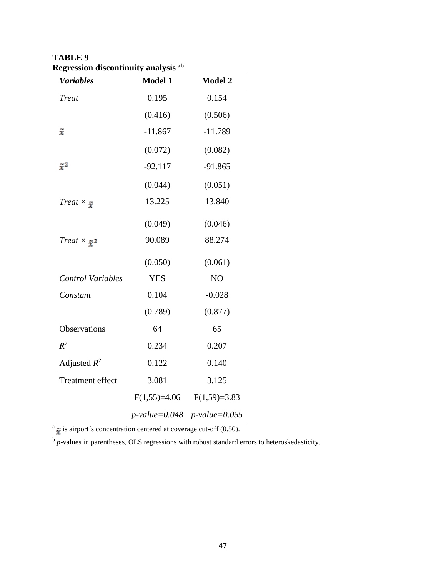| <b>Variables</b>                          | <b>Model 1</b>   | <b>Model 2</b>                |
|-------------------------------------------|------------------|-------------------------------|
| <b>Treat</b>                              | 0.195            | 0.154                         |
|                                           | (0.416)          | (0.506)                       |
| $\widetilde{x}$                           | $-11.867$        | $-11.789$                     |
|                                           | (0.072)          | (0.082)                       |
| $\tilde x^2$                              | $-92.117$        | $-91.865$                     |
|                                           | (0.044)          | (0.051)                       |
| Treat $\times_{\widetilde{\mathfrak{X}}}$ | 13.225           | 13.840                        |
|                                           | (0.049)          | (0.046)                       |
| $Treat \times \tilde{\mathbf{z}}^2$       | 90.089           | 88.274                        |
|                                           | (0.050)          | (0.061)                       |
| <b>Control Variables</b>                  | <b>YES</b>       | NO                            |
| Constant                                  | 0.104            | $-0.028$                      |
|                                           | (0.789)          | (0.877)                       |
| Observations                              | 64               | 65                            |
| $R^2$                                     | 0.234            | 0.207                         |
| Adjusted $R^2$                            | 0.122            | 0.140                         |
| <b>Treatment effect</b>                   | 3.081            | 3.125                         |
|                                           |                  | $F(1,55)=4.06$ $F(1,59)=3.83$ |
|                                           | $p$ -value=0.048 | $p$ -value=0.055              |

**TABLE 9 Regression discontinuity analysis** <sup>a</sup> <sup>b</sup>

 $a \rightarrow a$  is airport's concentration centered at coverage cut-off (0.50).

b *p*-values in parentheses, OLS regressions with robust standard errors to heteroskedasticity.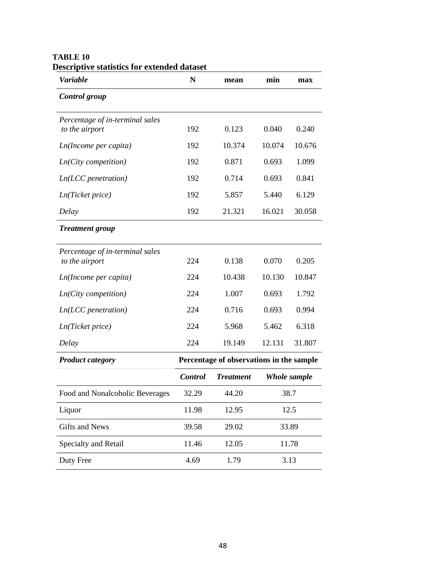| bescriptive statistics for extended dataset<br><b>Variable</b> | N              | mean                                     | min          | max    |
|----------------------------------------------------------------|----------------|------------------------------------------|--------------|--------|
| Control group                                                  |                |                                          |              |        |
| Percentage of in-terminal sales<br>to the airport              | 192            | 0.123                                    | 0.040        | 0.240  |
| Ln(Income per capita)                                          | 192            | 10.374                                   | 10.074       | 10.676 |
| $Ln(City$ competition)                                         | 192            | 0.871                                    | 0.693        | 1.099  |
| $Ln(ICC\, penetration)$                                        | 192            | 0.714                                    | 0.693        | 0.841  |
| Ln(Ticket price)                                               | 192            | 5.857                                    | 5.440        | 6.129  |
| Delay                                                          | 192            | 21.321                                   | 16.021       | 30.058 |
| <b>Treatment group</b>                                         |                |                                          |              |        |
| Percentage of in-terminal sales<br>to the airport              | 224            | 0.138                                    | 0.070        | 0.205  |
| Ln(Income per capita)                                          | 224            | 10.438                                   | 10.130       | 10.847 |
| $Ln(City$ competition)                                         | 224            | 1.007                                    | 0.693        | 1.792  |
| $Ln(ICC\, penetration)$                                        | 224            | 0.716                                    | 0.693        | 0.994  |
| Ln(Ticket price)                                               | 224            | 5.968                                    | 5.462        | 6.318  |
| Delay                                                          | 224            | 19.149                                   | 12.131       | 31.807 |
| <b>Product category</b>                                        |                | Percentage of observations in the sample |              |        |
|                                                                | <b>Control</b> | <b>Treatment</b>                         | Whole sample |        |
| Food and Nonalcoholic Beverages                                | 32.29          | 44.20                                    | 38.7         |        |
| Liquor                                                         | 11.98          | 12.95                                    |              | 12.5   |
| <b>Gifts and News</b>                                          | 39.58          | 29.02                                    |              | 33.89  |
| Specialty and Retail                                           | 11.46          | 12.05                                    |              | 11.78  |
| Duty Free                                                      | 4.69           | 1.79                                     |              | 3.13   |

#### **TABLE 10 Descriptive statistics for extended dataset**